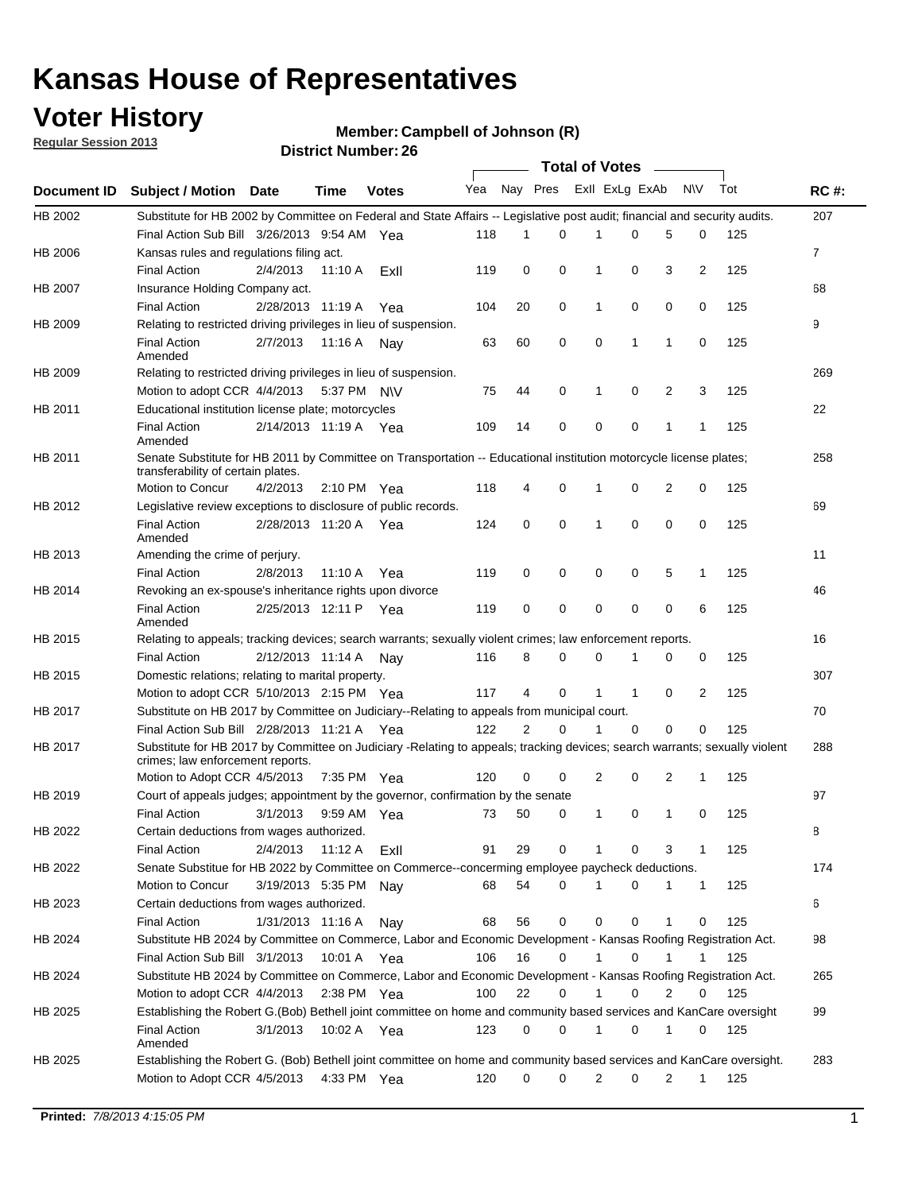## **Voter History**

**Member: Campbell of Johnson (R)** 

**Regular Session 2013**

|             |                                                                                                                                                                |                       |         |                       |     |                | <b>Total of Votes</b> |                |          | $\sim$       |              |     |             |
|-------------|----------------------------------------------------------------------------------------------------------------------------------------------------------------|-----------------------|---------|-----------------------|-----|----------------|-----------------------|----------------|----------|--------------|--------------|-----|-------------|
| Document ID | Subject / Motion Date                                                                                                                                          |                       | Time    | <b>Votes</b>          | Yea | Nay Pres       |                       | Exll ExLg ExAb |          |              | <b>NV</b>    | Tot | <b>RC#:</b> |
| HB 2002     | Substitute for HB 2002 by Committee on Federal and State Affairs -- Legislative post audit; financial and security audits.                                     |                       |         |                       |     |                |                       |                |          |              |              |     | 207         |
|             | Final Action Sub Bill 3/26/2013 9:54 AM Yea                                                                                                                    |                       |         |                       | 118 | 1              | 0                     | 1              | 0        | 5            | 0            | 125 |             |
| HB 2006     | Kansas rules and regulations filing act.                                                                                                                       |                       |         |                       |     |                |                       |                |          |              |              |     | 7           |
|             | <b>Final Action</b>                                                                                                                                            | 2/4/2013              | 11:10 A | ExII                  | 119 | 0              | 0                     | 1              | 0        | 3            | 2            | 125 |             |
| HB 2007     | Insurance Holding Company act.                                                                                                                                 |                       |         |                       |     |                |                       |                |          |              |              |     | 68          |
|             | <b>Final Action</b>                                                                                                                                            | 2/28/2013 11:19 A     |         | Yea                   | 104 | 20             | 0                     | 1              | 0        | 0            | 0            | 125 |             |
| HB 2009     | Relating to restricted driving privileges in lieu of suspension.                                                                                               |                       |         |                       |     |                |                       |                |          |              |              |     | 9           |
|             | <b>Final Action</b><br>Amended                                                                                                                                 | 2/7/2013              | 11:16 A | Nay                   | 63  | 60             | 0                     | 0              | 1        | $\mathbf{1}$ | 0            | 125 |             |
| HB 2009     | Relating to restricted driving privileges in lieu of suspension.                                                                                               |                       |         |                       |     |                |                       |                |          |              |              |     | 269         |
|             | Motion to adopt CCR 4/4/2013                                                                                                                                   |                       |         | 5:37 PM NV            | 75  | 44             | 0                     | 1              | 0        | 2            | 3            | 125 |             |
| HB 2011     | Educational institution license plate; motorcycles                                                                                                             |                       |         |                       |     |                |                       |                |          |              |              |     | 22          |
|             | <b>Final Action</b><br>Amended                                                                                                                                 | 2/14/2013 11:19 A Yea |         |                       | 109 | 14             | 0                     | 0              | 0        | 1            | $\mathbf{1}$ | 125 |             |
| HB 2011     | Senate Substitute for HB 2011 by Committee on Transportation -- Educational institution motorcycle license plates;<br>transferability of certain plates.       |                       |         |                       |     |                |                       |                |          |              |              |     | 258         |
|             | Motion to Concur                                                                                                                                               | 4/2/2013              |         | $2:10 \text{ PM}$ Yea | 118 | 4              | 0                     |                | 0        | 2            | 0            | 125 |             |
| HB 2012     | Legislative review exceptions to disclosure of public records.                                                                                                 |                       |         |                       |     |                |                       |                |          |              |              |     | 69          |
|             | <b>Final Action</b><br>Amended                                                                                                                                 | 2/28/2013 11:20 A     |         | Yea                   | 124 | 0              | $\mathbf 0$           | 1              | 0        | 0            | 0            | 125 |             |
| HB 2013     | Amending the crime of perjury.                                                                                                                                 |                       |         |                       |     |                |                       |                |          |              |              |     | 11          |
|             | <b>Final Action</b>                                                                                                                                            | 2/8/2013              | 11:10 A | Yea                   | 119 | 0              | 0                     | 0              | 0        | 5            | 1            | 125 |             |
| HB 2014     | Revoking an ex-spouse's inheritance rights upon divorce                                                                                                        |                       |         |                       |     |                |                       |                |          |              |              |     | 46          |
|             | <b>Final Action</b><br>Amended                                                                                                                                 | 2/25/2013 12:11 P     |         | Yea                   | 119 | 0              | 0                     | 0              | 0        | 0            | 6            | 125 |             |
| HB 2015     | Relating to appeals; tracking devices; search warrants; sexually violent crimes; law enforcement reports.                                                      |                       |         |                       |     |                |                       |                |          |              |              |     | 16          |
|             | <b>Final Action</b>                                                                                                                                            | 2/12/2013 11:14 A     |         | Nav                   | 116 | 8              | 0                     | 0              | 1        | 0            | 0            | 125 |             |
| HB 2015     | Domestic relations; relating to marital property.                                                                                                              |                       |         |                       |     |                |                       |                |          |              |              |     | 307         |
|             | Motion to adopt CCR 5/10/2013 2:15 PM Yea                                                                                                                      |                       |         |                       | 117 | 4              | 0                     |                | 1        | 0            | 2            | 125 |             |
| HB 2017     | Substitute on HB 2017 by Committee on Judiciary--Relating to appeals from municipal court.                                                                     |                       |         |                       |     |                |                       |                |          |              |              |     | 70          |
|             | Final Action Sub Bill 2/28/2013 11:21 A Yea                                                                                                                    |                       |         |                       | 122 | $\overline{2}$ | $\Omega$              |                | $\Omega$ | 0            | 0            | 125 |             |
| HB 2017     | Substitute for HB 2017 by Committee on Judiciary -Relating to appeals; tracking devices; search warrants; sexually violent<br>crimes; law enforcement reports. |                       |         |                       |     |                |                       |                |          |              |              |     | 288         |
|             | Motion to Adopt CCR 4/5/2013                                                                                                                                   |                       |         | 7:35 PM Yea           | 120 | 0              | 0                     | 2              | 0        | 2            | 1            | 125 |             |
| HB 2019     | Court of appeals judges; appointment by the governor, confirmation by the senate                                                                               |                       |         |                       |     |                |                       |                |          |              |              |     | 97          |
|             | <b>Final Action</b>                                                                                                                                            | 3/1/2013              |         | 9:59 AM Yea           | 73  | 50             | 0                     | 1              | 0        | 1            | 0            | 125 |             |
| HB 2022     | Certain deductions from wages authorized.                                                                                                                      |                       |         |                       |     |                |                       |                |          |              |              |     | В           |
|             | <b>Final Action</b>                                                                                                                                            | 2/4/2013              | 11:12 A | Exll                  | 91  | 29             | 0                     |                | 0        | 3            | 1            | 125 |             |
| HB 2022     | Senate Substitue for HB 2022 by Committee on Commerce--concerming employee paycheck deductions.                                                                |                       |         |                       |     |                |                       |                |          |              |              |     | 174         |
|             | Motion to Concur                                                                                                                                               | 3/19/2013 5:35 PM Nay |         |                       | 68  | 54             | 0                     |                | 0        | 1            | $\mathbf{1}$ | 125 |             |
| HB 2023     | Certain deductions from wages authorized.                                                                                                                      |                       |         |                       |     |                |                       |                |          |              |              |     | 6           |
|             | <b>Final Action</b>                                                                                                                                            | 1/31/2013 11:16 A     |         | Nay                   | 68  | 56             | 0                     | 0              | 0        | 1            | 0            | 125 |             |
| HB 2024     | Substitute HB 2024 by Committee on Commerce, Labor and Economic Development - Kansas Roofing Registration Act.                                                 |                       |         |                       |     |                |                       |                |          |              |              |     | 98          |
|             | Final Action Sub Bill 3/1/2013                                                                                                                                 |                       |         | 10:01 A Yea           | 106 | 16             | 0                     |                | 0        | 1            |              | 125 |             |
| HB 2024     | Substitute HB 2024 by Committee on Commerce, Labor and Economic Development - Kansas Roofing Registration Act.                                                 |                       |         |                       |     |                |                       |                |          |              |              |     | 265         |
|             | Motion to adopt CCR 4/4/2013                                                                                                                                   |                       |         | 2:38 PM Yea           | 100 | 22             | 0                     |                | 0        | 2            | 0            | 125 |             |
| HB 2025     | Establishing the Robert G.(Bob) Bethell joint committee on home and community based services and KanCare oversight                                             |                       |         |                       |     |                |                       |                |          |              |              |     | 99          |
|             | <b>Final Action</b><br>Amended                                                                                                                                 | 3/1/2013              |         | 10:02 A Yea           | 123 | 0              | 0                     |                | 0        | 1            | 0            | 125 |             |
| HB 2025     | Establishing the Robert G. (Bob) Bethell joint committee on home and community based services and KanCare oversight.<br>Motion to Adopt CCR 4/5/2013           |                       |         | 4:33 PM Yea           | 120 | 0              | 0                     | 2              | 0        | 2            | 1            | 125 | 283         |
|             |                                                                                                                                                                |                       |         |                       |     |                |                       |                |          |              |              |     |             |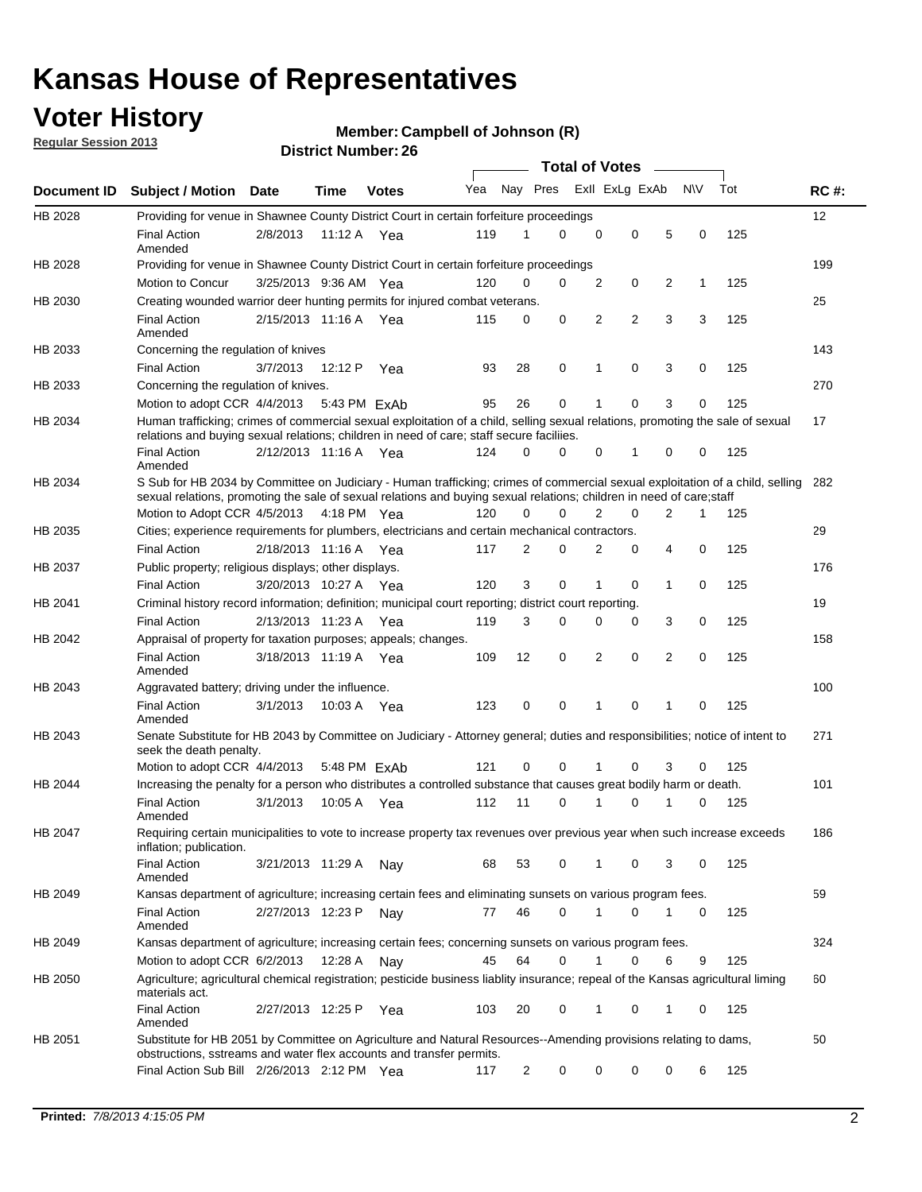## **Voter History**

**Regular Session 2013**

### **Member: Campbell of Johnson (R)**

|                    |                                                                                                                                                                                                                                                        |                       | SUIVLINUIIIN <del>G</del> I . ZU |              |     |                | <b>Total of Votes</b>   |                |                | $\sim$         |             |     |             |
|--------------------|--------------------------------------------------------------------------------------------------------------------------------------------------------------------------------------------------------------------------------------------------------|-----------------------|----------------------------------|--------------|-----|----------------|-------------------------|----------------|----------------|----------------|-------------|-----|-------------|
| <b>Document ID</b> | <b>Subject / Motion</b>                                                                                                                                                                                                                                | Date                  | Time                             | <b>Votes</b> | Yea |                | Nay Pres Exll ExLg ExAb |                |                |                | <b>NV</b>   | Tot | <b>RC#:</b> |
| HB 2028            | Providing for venue in Shawnee County District Court in certain forfeiture proceedings                                                                                                                                                                 |                       |                                  |              |     |                |                         |                |                |                |             |     | 12          |
|                    | <b>Final Action</b><br>Amended                                                                                                                                                                                                                         | 2/8/2013              | 11:12 A Yea                      |              | 119 | 1              | 0                       | $\mathbf 0$    | $\mathbf 0$    | 5              | 0           | 125 |             |
| HB 2028            | Providing for venue in Shawnee County District Court in certain forfeiture proceedings                                                                                                                                                                 |                       |                                  |              |     |                |                         |                |                |                |             |     | 199         |
|                    | Motion to Concur                                                                                                                                                                                                                                       | 3/25/2013 9:36 AM Yea |                                  |              | 120 | 0              | 0                       | $\overline{2}$ | 0              | 2              | 1           | 125 |             |
| HB 2030            | Creating wounded warrior deer hunting permits for injured combat veterans.                                                                                                                                                                             |                       |                                  |              |     |                |                         |                |                |                |             |     | 25          |
|                    | <b>Final Action</b><br>Amended                                                                                                                                                                                                                         | 2/15/2013 11:16 A     |                                  | Yea          | 115 | 0              | $\mathbf 0$             | $\overline{2}$ | $\overline{2}$ | 3              | 3           | 125 |             |
| HB 2033            | Concerning the regulation of knives                                                                                                                                                                                                                    |                       |                                  |              |     |                |                         |                |                |                |             |     | 143         |
|                    | <b>Final Action</b>                                                                                                                                                                                                                                    | 3/7/2013              | 12:12 P                          | Yea          | 93  | 28             | 0                       | 1              | 0              | 3              | 0           | 125 |             |
| HB 2033            | Concerning the regulation of knives.                                                                                                                                                                                                                   |                       |                                  |              |     |                |                         |                |                |                |             |     | 270         |
|                    | Motion to adopt CCR 4/4/2013 5:43 PM ExAb                                                                                                                                                                                                              |                       |                                  |              | 95  | 26             | $\mathbf 0$             | 1              | $\Omega$       | 3              | $\Omega$    | 125 |             |
| HB 2034            | Human trafficking; crimes of commercial sexual exploitation of a child, selling sexual relations, promoting the sale of sexual<br>relations and buying sexual relations; children in need of care; staff secure faciliies.                             |                       |                                  |              |     |                |                         |                |                |                |             |     | 17          |
|                    | <b>Final Action</b><br>Amended                                                                                                                                                                                                                         | 2/12/2013 11:16 A Yea |                                  |              | 124 | $\Omega$       | 0                       | $\Omega$       | 1              | $\Omega$       | $\Omega$    | 125 |             |
| HB 2034            | S Sub for HB 2034 by Committee on Judiciary - Human trafficking; crimes of commercial sexual exploitation of a child, selling<br>sexual relations, promoting the sale of sexual relations and buying sexual relations; children in need of care; staff |                       |                                  |              |     |                |                         |                |                |                |             |     | 282         |
|                    | Motion to Adopt CCR 4/5/2013 4:18 PM Yea                                                                                                                                                                                                               |                       |                                  |              | 120 | 0              | $\Omega$                | 2              | 0              | 2              | 1           | 125 |             |
| HB 2035            | Cities; experience requirements for plumbers, electricians and certain mechanical contractors.<br><b>Final Action</b>                                                                                                                                  | 2/18/2013 11:16 A     |                                  | Yea          | 117 | 2              | 0                       | 2              | $\mathbf 0$    | 4              | $\mathbf 0$ | 125 | 29          |
| HB 2037            | Public property; religious displays; other displays.                                                                                                                                                                                                   |                       |                                  |              |     |                |                         |                |                |                |             |     | 176         |
|                    | <b>Final Action</b>                                                                                                                                                                                                                                    | 3/20/2013 10:27 A Yea |                                  |              | 120 | 3              | $\mathbf 0$             | 1              | 0              | 1              | 0           | 125 |             |
| HB 2041            | Criminal history record information; definition; municipal court reporting; district court reporting.                                                                                                                                                  |                       |                                  |              |     |                |                         |                |                |                |             |     | 19          |
|                    | <b>Final Action</b>                                                                                                                                                                                                                                    | 2/13/2013 11:23 A     |                                  | Yea          | 119 | 3              | 0                       | 0              | 0              | 3              | 0           | 125 |             |
| HB 2042            | Appraisal of property for taxation purposes; appeals; changes.                                                                                                                                                                                         |                       |                                  |              |     |                |                         |                |                |                |             |     | 158         |
|                    | <b>Final Action</b><br>Amended                                                                                                                                                                                                                         | 3/18/2013 11:19 A Yea |                                  |              | 109 | 12             | 0                       | 2              | $\mathbf 0$    | $\overline{2}$ | 0           | 125 |             |
| HB 2043            | Aggravated battery; driving under the influence.                                                                                                                                                                                                       |                       |                                  |              |     |                |                         |                |                |                |             |     | 100         |
|                    | <b>Final Action</b><br>Amended                                                                                                                                                                                                                         | 3/1/2013              | 10:03 A Yea                      |              | 123 | $\mathbf 0$    | 0                       | 1              | $\Omega$       | 1              | $\Omega$    | 125 |             |
| HB 2043            | Senate Substitute for HB 2043 by Committee on Judiciary - Attorney general; duties and responsibilities; notice of intent to<br>seek the death penalty.                                                                                                |                       |                                  |              |     |                |                         |                |                |                |             |     | 271         |
|                    | Motion to adopt CCR 4/4/2013                                                                                                                                                                                                                           |                       | $5:48$ PM $FxAh$                 |              | 121 | $\mathbf 0$    | $\Omega$                | 1              | $\Omega$       | 3              | 0           | 125 |             |
| HB 2044            | Increasing the penalty for a person who distributes a controlled substance that causes great bodily harm or death.                                                                                                                                     |                       |                                  |              |     |                |                         |                |                |                |             |     | 101         |
|                    | <b>Final Action</b><br>Amended                                                                                                                                                                                                                         | 3/1/2013              | 10:05 A                          | Yea          | 112 | 11             | 0                       | 1              | 0              |                | 0           | 125 |             |
| HB 2047            | Requiring certain municipalities to vote to increase property tax revenues over previous year when such increase exceeds<br>inflation; publication.                                                                                                    |                       |                                  |              |     |                |                         |                |                |                |             |     | 186         |
|                    | <b>Final Action</b><br>Amended                                                                                                                                                                                                                         | 3/21/2013 11:29 A     |                                  | Nav          | 68  | 53             | 0                       | 1              | 0              | 3              | 0           | 125 |             |
| HB 2049            | Kansas department of agriculture; increasing certain fees and eliminating sunsets on various program fees.                                                                                                                                             |                       |                                  |              |     |                |                         |                |                |                |             |     | 59          |
|                    | <b>Final Action</b><br>Amended                                                                                                                                                                                                                         | 2/27/2013 12:23 P     |                                  | Nay          | 77  | 46             | 0                       | 1              | 0              |                | 0           | 125 |             |
| HB 2049            | Kansas department of agriculture; increasing certain fees; concerning sunsets on various program fees.                                                                                                                                                 |                       |                                  |              |     |                |                         |                |                |                |             |     | 324         |
|                    | Motion to adopt CCR 6/2/2013                                                                                                                                                                                                                           |                       | 12:28 A                          | Nay          | 45  | 64             | 0                       | 1              | 0              | 6              | 9           | 125 |             |
| HB 2050            | Agriculture; agricultural chemical registration; pesticide business liablity insurance; repeal of the Kansas agricultural liming<br>materials act.                                                                                                     |                       |                                  |              |     |                |                         |                |                |                |             |     | 60          |
|                    | <b>Final Action</b><br>Amended                                                                                                                                                                                                                         | 2/27/2013 12:25 P     |                                  | Yea          | 103 | 20             | 0                       | 1              | 0              | 1              | 0           | 125 |             |
| HB 2051            | Substitute for HB 2051 by Committee on Agriculture and Natural Resources--Amending provisions relating to dams,<br>obstructions, sstreams and water flex accounts and transfer permits.                                                                |                       |                                  |              |     |                |                         |                |                |                |             |     | 50          |
|                    | Final Action Sub Bill 2/26/2013 2:12 PM Yea                                                                                                                                                                                                            |                       |                                  |              | 117 | $\overline{c}$ | 0                       | 0              | 0              | 0              | 6           | 125 |             |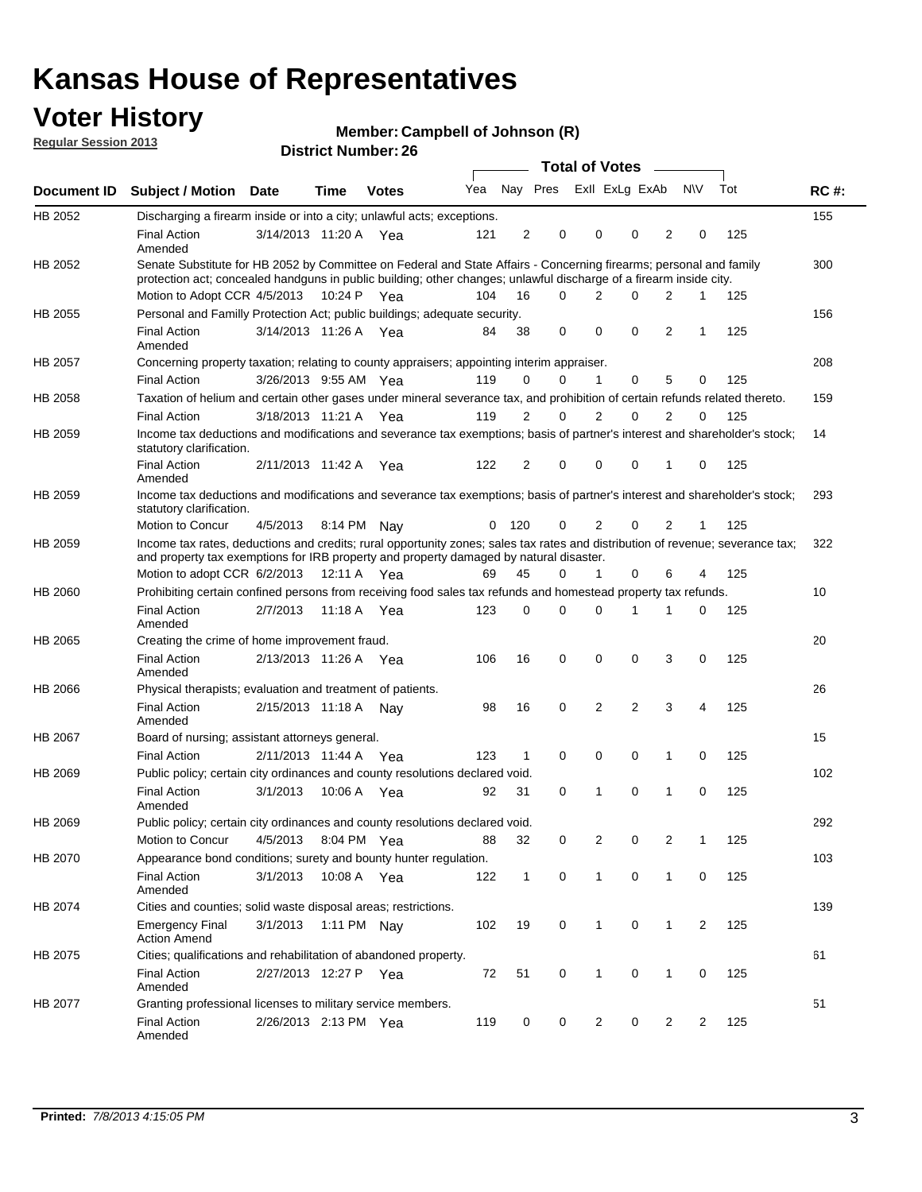## **Voter History**

**Member: Campbell of Johnson (R)** 

**Regular Session 2013**

|             |                                                                                                                                                                                                                                          |                       |         | וסוטנו וענווווטקו בע |     |                |                         | Total of Votes – |                |                |                |              |     |             |
|-------------|------------------------------------------------------------------------------------------------------------------------------------------------------------------------------------------------------------------------------------------|-----------------------|---------|----------------------|-----|----------------|-------------------------|------------------|----------------|----------------|----------------|--------------|-----|-------------|
| Document ID | <b>Subject / Motion Date</b>                                                                                                                                                                                                             |                       | Time    | <b>Votes</b>         | Yea |                | Nay Pres Exll ExLg ExAb |                  |                |                |                | N\V          | Tot | <b>RC#:</b> |
| HB 2052     | Discharging a firearm inside or into a city; unlawful acts; exceptions.                                                                                                                                                                  |                       |         |                      |     |                |                         |                  |                |                |                |              |     | 155         |
|             | <b>Final Action</b><br>Amended                                                                                                                                                                                                           | 3/14/2013 11:20 A Yea |         |                      | 121 | $\overline{2}$ | 0                       |                  | $\Omega$       | 0              | 2              | 0            | 125 |             |
| HB 2052     | Senate Substitute for HB 2052 by Committee on Federal and State Affairs - Concerning firearms; personal and family<br>protection act; concealed handguns in public building; other changes; unlawful discharge of a firearm inside city. |                       |         |                      |     |                |                         |                  |                |                |                |              |     | 300         |
|             | Motion to Adopt CCR 4/5/2013 10:24 P Yea                                                                                                                                                                                                 |                       |         |                      | 104 | 16             | $\Omega$                |                  | 2              | 0              | 2              | 1            | 125 |             |
| HB 2055     | Personal and Familly Protection Act; public buildings; adequate security.                                                                                                                                                                |                       |         |                      |     |                |                         |                  |                |                |                |              |     | 156         |
|             | <b>Final Action</b><br>Amended                                                                                                                                                                                                           | 3/14/2013 11:26 A Yea |         |                      | 84  | 38             | 0                       |                  | 0              | 0              | 2              | $\mathbf{1}$ | 125 |             |
| HB 2057     | Concerning property taxation; relating to county appraisers; appointing interim appraiser.                                                                                                                                               |                       |         |                      |     |                |                         |                  |                |                |                |              |     | 208         |
|             | <b>Final Action</b>                                                                                                                                                                                                                      | 3/26/2013 9:55 AM Yea |         |                      | 119 | 0              | 0                       |                  | 1              | 0              | 5              | 0            | 125 |             |
| HB 2058     | Taxation of helium and certain other gases under mineral severance tax, and prohibition of certain refunds related thereto.                                                                                                              |                       |         |                      |     |                |                         |                  |                |                |                |              |     | 159         |
|             | <b>Final Action</b>                                                                                                                                                                                                                      | 3/18/2013 11:21 A Yea |         |                      | 119 | 2              | 0                       |                  | 2              | $\Omega$       | 2              | $\Omega$     | 125 |             |
| HB 2059     | Income tax deductions and modifications and severance tax exemptions; basis of partner's interest and shareholder's stock;<br>statutory clarification.                                                                                   |                       |         |                      |     |                |                         |                  |                |                |                |              |     | 14          |
|             | <b>Final Action</b><br>Amended                                                                                                                                                                                                           | 2/11/2013 11:42 A     |         | Yea                  | 122 | 2              | 0                       |                  | $\Omega$       | 0              | 1              | 0            | 125 |             |
| HB 2059     | Income tax deductions and modifications and severance tax exemptions; basis of partner's interest and shareholder's stock;<br>statutory clarification.                                                                                   |                       |         |                      |     |                |                         |                  |                |                |                |              |     | 293         |
|             | Motion to Concur                                                                                                                                                                                                                         | 4/5/2013              |         | 8:14 PM Nav          | 0   | - 120          | 0                       |                  | 2              | 0              | 2              | 1            | 125 |             |
| HB 2059     | Income tax rates, deductions and credits; rural opportunity zones; sales tax rates and distribution of revenue; severance tax;<br>and property tax exemptions for IRB property and property damaged by natural disaster.                 |                       |         |                      |     |                |                         |                  |                |                |                |              |     | 322         |
|             | Motion to adopt CCR 6/2/2013                                                                                                                                                                                                             |                       | 12:11 A | Yea                  | 69  | 45             | 0                       |                  | $\mathbf{1}$   | 0              | 6              | 4            | 125 |             |
| HB 2060     | Prohibiting certain confined persons from receiving food sales tax refunds and homestead property tax refunds.                                                                                                                           |                       |         |                      |     |                |                         |                  |                |                |                |              |     | 10          |
|             | <b>Final Action</b><br>Amended                                                                                                                                                                                                           | 2/7/2013              | 11:18 A | Yea                  | 123 | 0              | $\Omega$                |                  | $\Omega$       | 1              | 1              | 0            | 125 |             |
| HB 2065     | Creating the crime of home improvement fraud.                                                                                                                                                                                            |                       |         |                      |     |                |                         |                  |                |                |                |              |     | 20          |
|             | <b>Final Action</b><br>Amended                                                                                                                                                                                                           | 2/13/2013 11:26 A Yea |         |                      | 106 | 16             | $\mathbf 0$             |                  | 0              | 0              | 3              | 0            | 125 |             |
| HB 2066     | Physical therapists; evaluation and treatment of patients.                                                                                                                                                                               |                       |         |                      |     |                |                         |                  |                |                |                |              |     | 26          |
|             | <b>Final Action</b><br>Amended                                                                                                                                                                                                           | 2/15/2013 11:18 A Nay |         |                      | 98  | 16             | $\mathbf 0$             |                  | $\overline{2}$ | $\overline{2}$ | 3              | 4            | 125 |             |
| HB 2067     | Board of nursing; assistant attorneys general.                                                                                                                                                                                           |                       |         |                      |     |                |                         |                  |                |                |                |              |     | 15          |
|             | <b>Final Action</b>                                                                                                                                                                                                                      | 2/11/2013 11:44 A Yea |         |                      | 123 | 1              | $\mathbf 0$             |                  | 0              | 0              | 1              | 0            | 125 |             |
| HB 2069     | Public policy; certain city ordinances and county resolutions declared void.                                                                                                                                                             |                       |         |                      |     |                |                         |                  |                |                |                |              |     | 102         |
|             | <b>Final Action</b><br>Amended                                                                                                                                                                                                           | 3/1/2013              | 10:06 A | Yea                  | 92  | 31             | $\mathbf 0$             |                  | 1              | $\Omega$       | 1              | $\mathbf 0$  | 125 |             |
| HB 2069     | Public policy; certain city ordinances and county resolutions declared void.                                                                                                                                                             |                       |         |                      |     |                |                         |                  |                |                |                |              |     | 292         |
|             | Motion to Concur                                                                                                                                                                                                                         | 4/5/2013              |         | 8:04 PM Yea          | 88  | 32             | 0                       |                  | 2              | 0              | $\overline{2}$ | 1            | 125 |             |
| HB 2070     | Appearance bond conditions; surety and bounty hunter regulation.                                                                                                                                                                         |                       |         |                      |     |                |                         |                  |                |                |                |              |     | 103         |
|             | <b>Final Action</b><br>Amended                                                                                                                                                                                                           | 3/1/2013              |         | 10:08 A Yea          | 122 | $\mathbf{1}$   | 0                       |                  | $\mathbf{1}$   | 0              | 1              | 0            | 125 |             |
| HB 2074     | Cities and counties; solid waste disposal areas; restrictions.                                                                                                                                                                           |                       |         |                      |     |                |                         |                  |                |                |                |              |     | 139         |
|             | <b>Emergency Final</b><br><b>Action Amend</b>                                                                                                                                                                                            | 3/1/2013              |         | 1:11 PM Nay          | 102 | 19             | 0                       |                  | $\mathbf{1}$   | 0              | $\mathbf{1}$   | 2            | 125 |             |
| HB 2075     | Cities; qualifications and rehabilitation of abandoned property.                                                                                                                                                                         |                       |         |                      |     |                |                         |                  |                |                |                |              |     | 61          |
|             | <b>Final Action</b><br>Amended                                                                                                                                                                                                           | 2/27/2013 12:27 P Yea |         |                      | 72  | 51             | 0                       |                  | 1              | 0              | 1              | 0            | 125 |             |
| HB 2077     | Granting professional licenses to military service members.<br><b>Final Action</b><br>Amended                                                                                                                                            | 2/26/2013 2:13 PM Yea |         |                      | 119 | 0              | 0                       |                  | $\overline{2}$ | 0              | 2              | 2            | 125 | 51          |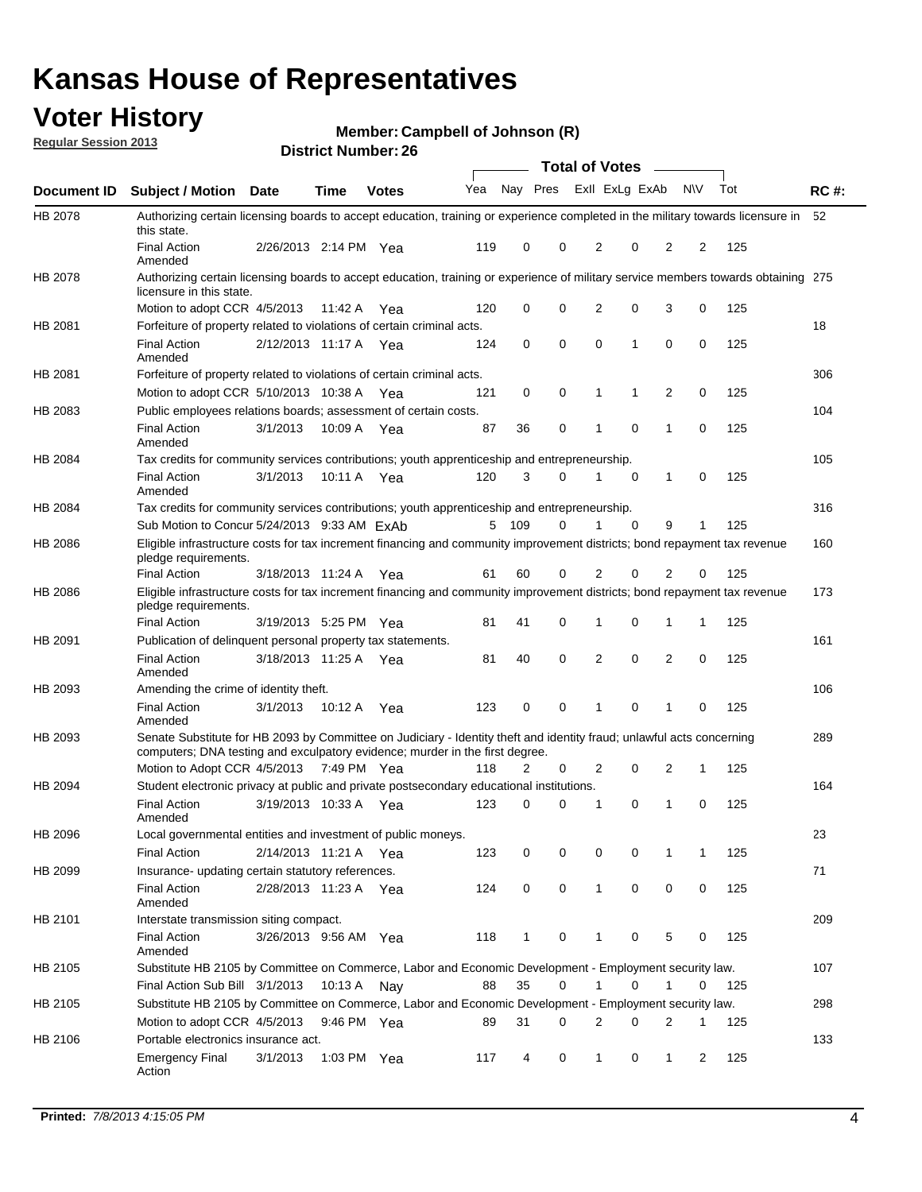## **Voter History**

**Member: Campbell of Johnson (R)** 

**Regular Session 2013**

|                    |                                                                                                                                                                                                       |                       |               | וסוווטג וזעווווערו. בע |              |              |   | <b>Total of Votes</b> |             | $\sim$         |             |     |             |
|--------------------|-------------------------------------------------------------------------------------------------------------------------------------------------------------------------------------------------------|-----------------------|---------------|------------------------|--------------|--------------|---|-----------------------|-------------|----------------|-------------|-----|-------------|
| <b>Document ID</b> | <b>Subject / Motion Date</b>                                                                                                                                                                          |                       | <b>Time</b>   | <b>Votes</b>           | Yea Nay Pres |              |   | Exll ExLg ExAb        |             |                | <b>NV</b>   | Tot | <b>RC#:</b> |
| HB 2078            | Authorizing certain licensing boards to accept education, training or experience completed in the military towards licensure in<br>this state.                                                        |                       |               |                        |              |              |   |                       |             |                |             |     | 52          |
|                    | <b>Final Action</b><br>Amended                                                                                                                                                                        | 2/26/2013 2:14 PM Yea |               |                        | 119          | 0            | 0 | 2                     | 0           | 2              | 2           | 125 |             |
| HB 2078            | Authorizing certain licensing boards to accept education, training or experience of military service members towards obtaining 275<br>licensure in this state.                                        |                       |               |                        |              |              |   |                       |             |                |             |     |             |
|                    | Motion to adopt CCR 4/5/2013                                                                                                                                                                          |                       | 11:42 A       | Yea                    | 120          | 0            | 0 | $\overline{2}$        | 0           | 3              | 0           | 125 |             |
| HB 2081            | Forfeiture of property related to violations of certain criminal acts.                                                                                                                                |                       |               |                        |              |              |   |                       |             |                |             |     | 18          |
|                    | <b>Final Action</b><br>Amended                                                                                                                                                                        | 2/12/2013 11:17 A Yea |               |                        | 124          | 0            | 0 | $\Omega$              | 1           | 0              | 0           | 125 |             |
| HB 2081            | Forfeiture of property related to violations of certain criminal acts.                                                                                                                                |                       |               |                        |              |              |   |                       |             |                |             |     | 306         |
|                    | Motion to adopt CCR 5/10/2013 10:38 A                                                                                                                                                                 |                       |               | Yea                    | 121          | 0            | 0 | 1                     | 1           | 2              | 0           | 125 |             |
| HB 2083            | Public employees relations boards; assessment of certain costs.                                                                                                                                       |                       |               |                        |              |              |   |                       |             |                |             |     | 104         |
|                    | <b>Final Action</b><br>Amended                                                                                                                                                                        | 3/1/2013              | 10:09 A       | Yea                    | 87           | 36           | 0 | 1                     | $\mathbf 0$ | 1              | $\mathbf 0$ | 125 |             |
| HB 2084            | Tax credits for community services contributions; youth apprenticeship and entrepreneurship.                                                                                                          |                       |               |                        |              |              |   |                       |             |                |             |     | 105         |
|                    | <b>Final Action</b><br>Amended                                                                                                                                                                        | 3/1/2013              | 10:11 A       | Yea                    | 120          | 3            | 0 | 1                     | $\mathbf 0$ | 1              | 0           | 125 |             |
| HB 2084            | Tax credits for community services contributions; youth apprenticeship and entrepreneurship.                                                                                                          |                       |               |                        |              |              |   |                       |             |                |             |     | 316         |
|                    | Sub Motion to Concur 5/24/2013 9:33 AM ExAb                                                                                                                                                           |                       |               |                        | 5            | 109          | 0 |                       | 0           | 9              | 1           | 125 |             |
| HB 2086            | Eligible infrastructure costs for tax increment financing and community improvement districts; bond repayment tax revenue<br>pledge requirements.                                                     |                       |               |                        |              |              |   |                       |             |                |             |     | 160         |
|                    | <b>Final Action</b>                                                                                                                                                                                   | 3/18/2013 11:24 A     |               | Yea                    | 61           | 60           | 0 | 2                     | 0           | $\overline{2}$ | 0           | 125 |             |
| HB 2086            | Eligible infrastructure costs for tax increment financing and community improvement districts; bond repayment tax revenue<br>pledge requirements.                                                     |                       |               |                        |              |              |   |                       |             |                |             |     | 173         |
|                    | <b>Final Action</b>                                                                                                                                                                                   | 3/19/2013 5:25 PM Yea |               |                        | 81           | 41           | 0 | 1                     | 0           | 1              | 1           | 125 |             |
| HB 2091            | Publication of delinguent personal property tax statements.                                                                                                                                           |                       |               |                        |              |              |   |                       |             |                |             |     | 161         |
|                    | <b>Final Action</b><br>Amended                                                                                                                                                                        | 3/18/2013 11:25 A     |               | Yea                    | 81           | 40           | 0 | 2                     | 0           | $\overline{2}$ | 0           | 125 |             |
| HB 2093            | Amending the crime of identity theft.                                                                                                                                                                 |                       |               |                        |              |              |   |                       |             |                |             |     | 106         |
|                    | <b>Final Action</b><br>Amended                                                                                                                                                                        | 3/1/2013              | 10:12 A       | Yea                    | 123          | 0            | 0 | 1                     | $\Omega$    | 1              | 0           | 125 |             |
| HB 2093            | Senate Substitute for HB 2093 by Committee on Judiciary - Identity theft and identity fraud; unlawful acts concerning<br>computers; DNA testing and exculpatory evidence; murder in the first degree. |                       |               |                        |              |              |   |                       |             |                |             |     | 289         |
|                    | Motion to Adopt CCR 4/5/2013 7:49 PM Yea                                                                                                                                                              |                       |               |                        | 118          | 2            | 0 | 2                     | 0           | 2              | 1           | 125 |             |
| HB 2094            | Student electronic privacy at public and private postsecondary educational institutions.                                                                                                              |                       |               |                        |              |              |   |                       |             |                |             |     | 164         |
|                    | <b>Final Action</b><br>Amended                                                                                                                                                                        | 3/19/2013 10:33 A     |               | Yea                    | 123          | 0            | 0 | 1                     | 0           | 1              | 0           | 125 |             |
| HB 2096            | Local governmental entities and investment of public moneys.                                                                                                                                          |                       |               |                        |              |              |   |                       |             |                |             |     | 23          |
|                    | <b>Final Action</b>                                                                                                                                                                                   | 2/14/2013 11:21 A     |               | Yea                    | 123          | 0            | 0 | 0                     | 0           | 1              | 1           | 125 |             |
| HB 2099            | Insurance- updating certain statutory references.                                                                                                                                                     |                       |               |                        |              |              |   |                       |             |                |             |     | 71          |
|                    | <b>Final Action</b><br>Amended                                                                                                                                                                        | 2/28/2013 11:23 A     |               | Yea                    | 124          | 0            | 0 | 1                     | 0           | 0              | 0           | 125 |             |
| HB 2101            | Interstate transmission siting compact.                                                                                                                                                               |                       |               |                        |              |              |   |                       |             |                |             |     | 209         |
|                    | <b>Final Action</b><br>Amended                                                                                                                                                                        | 3/26/2013 9:56 AM Yea |               |                        | 118          | $\mathbf{1}$ | 0 | 1                     | 0           | 5              | 0           | 125 |             |
| HB 2105            | Substitute HB 2105 by Committee on Commerce, Labor and Economic Development - Employment security law.                                                                                                |                       |               |                        |              |              |   |                       |             |                |             |     | 107         |
|                    | Final Action Sub Bill 3/1/2013                                                                                                                                                                        |                       | 10:13 A Nay   |                        | 88           | 35           | 0 |                       | 0           | 1              | 0           | 125 |             |
| HB 2105            | Substitute HB 2105 by Committee on Commerce, Labor and Economic Development - Employment security law.                                                                                                |                       |               |                        |              |              |   |                       |             |                |             |     | 298         |
|                    | Motion to adopt CCR 4/5/2013                                                                                                                                                                          |                       | 9:46 PM Yea   |                        | 89           | 31           | 0 | 2                     | 0           | 2              | 1           | 125 |             |
| HB 2106            | Portable electronics insurance act.                                                                                                                                                                   |                       |               |                        |              |              |   |                       |             |                |             |     | 133         |
|                    | <b>Emergency Final</b><br>Action                                                                                                                                                                      | 3/1/2013              | 1:03 PM $Yea$ |                        | 117          | 4            | 0 | $\mathbf{1}$          | 0           | $\mathbf{1}$   | 2           | 125 |             |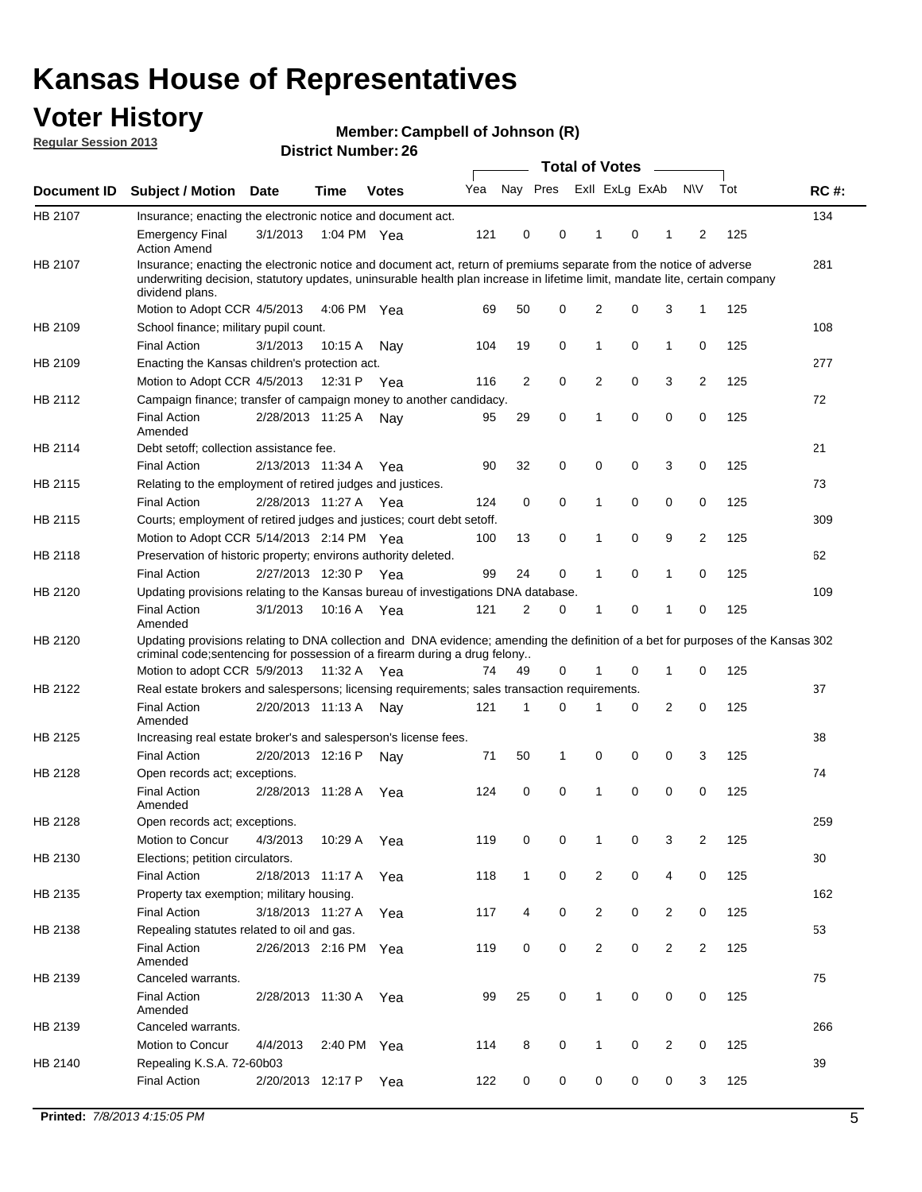## **Voter History**

**Member: Campbell of Johnson (R)** 

**Regular Session 2013**

|                |                                                                                                                                                                                                                                                                      |                       |             |              |     |                         | <b>Total of Votes</b> |                |                |                |                |     |             |
|----------------|----------------------------------------------------------------------------------------------------------------------------------------------------------------------------------------------------------------------------------------------------------------------|-----------------------|-------------|--------------|-----|-------------------------|-----------------------|----------------|----------------|----------------|----------------|-----|-------------|
| Document ID    | Subject / Motion Date                                                                                                                                                                                                                                                |                       | Time        | <b>Votes</b> | Yea | Nay Pres                |                       |                | Exll ExLg ExAb |                | <b>NV</b>      | Tot | <b>RC#:</b> |
| HB 2107        | Insurance; enacting the electronic notice and document act.                                                                                                                                                                                                          |                       |             |              |     |                         |                       |                |                |                |                |     | 134         |
|                | Emergency Final<br><b>Action Amend</b>                                                                                                                                                                                                                               | 3/1/2013              | 1:04 PM Yea |              | 121 | 0                       | 0                     | 1              | 0              |                | $\overline{2}$ | 125 |             |
| <b>HB 2107</b> | Insurance; enacting the electronic notice and document act, return of premiums separate from the notice of adverse<br>underwriting decision, statutory updates, uninsurable health plan increase in lifetime limit, mandate lite, certain company<br>dividend plans. |                       |             |              |     |                         |                       |                |                |                |                |     | 281         |
|                | Motion to Adopt CCR 4/5/2013                                                                                                                                                                                                                                         |                       | 4:06 PM Yea |              | 69  | 50                      | 0                     | 2              | 0              | 3              | $\mathbf{1}$   | 125 |             |
| HB 2109        | School finance; military pupil count.                                                                                                                                                                                                                                |                       |             |              |     |                         |                       |                |                |                |                |     | 108         |
|                | <b>Final Action</b>                                                                                                                                                                                                                                                  | 3/1/2013              | 10:15A      | Nav          | 104 | 19                      | $\mathbf 0$           | 1              | 0              | 1              | 0              | 125 |             |
| HB 2109        | Enacting the Kansas children's protection act.                                                                                                                                                                                                                       |                       |             |              |     |                         |                       |                |                |                |                |     | 277         |
|                | Motion to Adopt CCR 4/5/2013                                                                                                                                                                                                                                         |                       | 12:31 P     | Yea          | 116 | $\overline{\mathbf{c}}$ | $\mathbf 0$           | 2              | 0              | 3              | $\overline{c}$ | 125 |             |
| HB 2112        | Campaign finance; transfer of campaign money to another candidacy.                                                                                                                                                                                                   |                       |             |              |     |                         |                       |                |                |                |                |     | 72          |
|                | <b>Final Action</b><br>Amended                                                                                                                                                                                                                                       | 2/28/2013 11:25 A     |             | Nav          | 95  | 29                      | 0                     | 1              | 0              | 0              | $\mathbf 0$    | 125 |             |
| HB 2114        | Debt setoff; collection assistance fee.                                                                                                                                                                                                                              |                       |             |              |     |                         |                       |                |                |                |                |     | 21          |
|                | <b>Final Action</b>                                                                                                                                                                                                                                                  | 2/13/2013 11:34 A     |             | Yea          | 90  | 32                      | 0                     | 0              | 0              | 3              | 0              | 125 |             |
| HB 2115        | Relating to the employment of retired judges and justices.                                                                                                                                                                                                           |                       |             |              |     |                         |                       |                |                |                |                |     | 73          |
|                | <b>Final Action</b>                                                                                                                                                                                                                                                  | 2/28/2013 11:27 A Yea |             |              | 124 | 0                       | $\mathbf 0$           | 1              | 0              | 0              | 0              | 125 |             |
| HB 2115        | Courts; employment of retired judges and justices; court debt setoff.                                                                                                                                                                                                |                       |             |              |     |                         |                       |                |                |                |                |     | 309         |
|                | Motion to Adopt CCR 5/14/2013 2:14 PM Yea                                                                                                                                                                                                                            |                       |             |              | 100 | 13                      | 0                     | 1              | 0              | 9              | 2              | 125 |             |
| HB 2118        | Preservation of historic property; environs authority deleted.                                                                                                                                                                                                       |                       |             |              |     |                         |                       |                |                |                |                |     | 62          |
|                | <b>Final Action</b>                                                                                                                                                                                                                                                  | 2/27/2013 12:30 P     |             | Yea          | 99  | 24                      | 0                     | $\mathbf{1}$   | 0              | 1              | 0              | 125 |             |
| HB 2120        | Updating provisions relating to the Kansas bureau of investigations DNA database.                                                                                                                                                                                    |                       |             |              |     |                         |                       |                |                |                |                |     | 109         |
|                | <b>Final Action</b><br>Amended                                                                                                                                                                                                                                       | 3/1/2013              | 10:16 A     | Yea          | 121 | 2                       | 0                     | 1              | 0              | 1              | 0              | 125 |             |
| HB 2120        | Updating provisions relating to DNA collection and DNA evidence; amending the definition of a bet for purposes of the Kansas 302                                                                                                                                     |                       |             |              |     |                         |                       |                |                |                |                |     |             |
|                | criminal code; sentencing for possession of a firearm during a drug felony                                                                                                                                                                                           |                       |             |              |     |                         |                       |                |                |                |                |     |             |
|                | Motion to adopt CCR 5/9/2013                                                                                                                                                                                                                                         |                       | 11:32 A     | Yea          | 74  | 49                      | 0                     |                | 0              | 1              | 0              | 125 |             |
| HB 2122        | Real estate brokers and salespersons; licensing requirements; sales transaction requirements.                                                                                                                                                                        |                       |             |              |     |                         |                       |                |                |                |                |     | 37          |
|                | <b>Final Action</b><br>Amended                                                                                                                                                                                                                                       | 2/20/2013 11:13 A     |             | Nav          | 121 | $\mathbf{1}$            | 0                     | 1              | 0              | 2              | 0              | 125 |             |
| HB 2125        | Increasing real estate broker's and salesperson's license fees.                                                                                                                                                                                                      |                       |             |              |     |                         |                       |                |                |                |                |     | 38          |
|                | <b>Final Action</b>                                                                                                                                                                                                                                                  | 2/20/2013 12:16 P     |             | Nav          | 71  | 50                      | 1                     | 0              | 0              | 0              | 3              | 125 |             |
| HB 2128        | Open records act; exceptions.                                                                                                                                                                                                                                        |                       |             |              |     |                         |                       |                |                |                |                |     | 74          |
|                | <b>Final Action</b><br>Amended                                                                                                                                                                                                                                       | 2/28/2013 11:28 A     |             | Yea          | 124 | 0                       | 0                     | 1              | 0              | 0              | 0              | 125 |             |
| HB 2128        | Open records act; exceptions.                                                                                                                                                                                                                                        |                       |             |              |     |                         |                       |                |                |                |                |     | 259         |
|                | Motion to Concur                                                                                                                                                                                                                                                     | 4/3/2013              | 10:29 A     | Yea          | 119 | 0                       | 0                     |                | 0              | 3              | 2              | 125 |             |
| HB 2130        | Elections; petition circulators.                                                                                                                                                                                                                                     |                       |             |              |     |                         |                       |                |                |                |                |     | 30          |
|                | <b>Final Action</b>                                                                                                                                                                                                                                                  | 2/18/2013 11:17 A     |             | Yea          | 118 | $\mathbf{1}$            | 0                     | $\overline{c}$ | 0              | 4              | 0              | 125 |             |
| HB 2135        | Property tax exemption; military housing.                                                                                                                                                                                                                            |                       |             |              |     |                         |                       |                |                |                |                |     | 162         |
|                | <b>Final Action</b>                                                                                                                                                                                                                                                  | 3/18/2013 11:27 A     |             | Yea          | 117 | 4                       | 0                     | $\overline{c}$ | 0              | 2              | 0              | 125 |             |
| HB 2138        | Repealing statutes related to oil and gas.                                                                                                                                                                                                                           |                       |             |              |     |                         |                       |                |                |                |                |     | 53          |
|                | <b>Final Action</b><br>Amended                                                                                                                                                                                                                                       | 2/26/2013 2:16 PM Yea |             |              | 119 | 0                       | 0                     | 2              | 0              | 2              | 2              | 125 |             |
| HB 2139        | Canceled warrants.                                                                                                                                                                                                                                                   |                       |             |              |     |                         |                       |                |                |                |                |     | 75          |
|                | <b>Final Action</b><br>Amended                                                                                                                                                                                                                                       | 2/28/2013 11:30 A     |             | Yea          | 99  | 25                      | 0                     | 1              | 0              | 0              | 0              | 125 |             |
| HB 2139        | Canceled warrants.                                                                                                                                                                                                                                                   |                       |             |              |     |                         |                       |                |                |                |                |     | 266         |
|                | Motion to Concur                                                                                                                                                                                                                                                     | 4/4/2013              | 2:40 PM Yea |              | 114 | 8                       | 0                     | $\mathbf{1}$   | 0              | $\overline{2}$ | 0              | 125 |             |
| HB 2140        | Repealing K.S.A. 72-60b03                                                                                                                                                                                                                                            |                       |             |              |     |                         |                       |                |                |                |                |     | 39          |
|                | <b>Final Action</b>                                                                                                                                                                                                                                                  | 2/20/2013 12:17 P     |             | Yea          | 122 | 0                       | 0                     | 0              | 0              | 0              | 3              | 125 |             |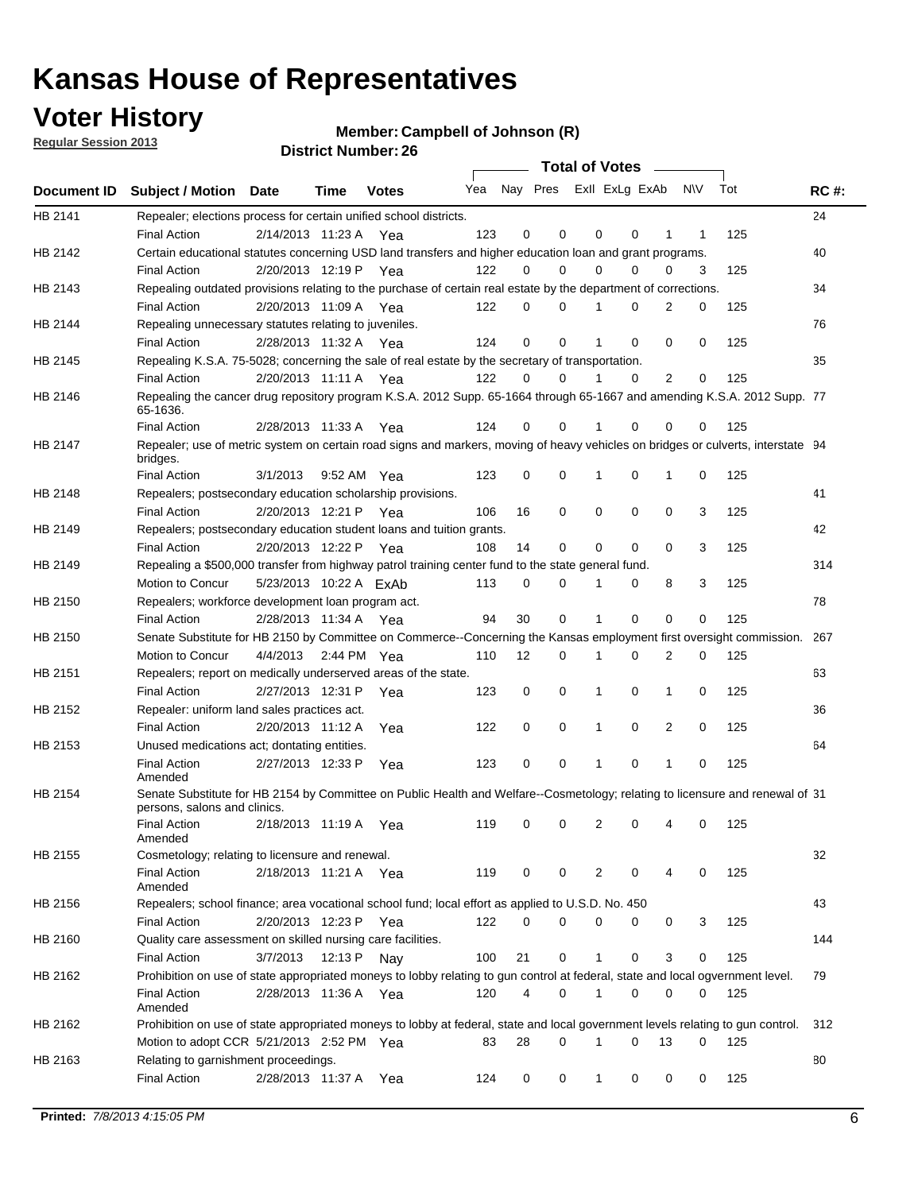## **Voter History**

**Member: Campbell of Johnson (R)** 

**Regular Session 2013**

|             |                                                                                                                                                                              |                                   |             | וסוטנו וענווווטקו. בע |                             |             |          | Total of Votes – |          |                |           |            |             |
|-------------|------------------------------------------------------------------------------------------------------------------------------------------------------------------------------|-----------------------------------|-------------|-----------------------|-----------------------------|-------------|----------|------------------|----------|----------------|-----------|------------|-------------|
| Document ID | Subject / Motion Date                                                                                                                                                        |                                   | <b>Time</b> | <b>Votes</b>          | Yea Nay Pres ExII ExLg ExAb |             |          |                  |          |                | <b>NV</b> | Tot        | <b>RC#:</b> |
| HB 2141     | Repealer; elections process for certain unified school districts.<br><b>Final Action</b>                                                                                     | 2/14/2013 11:23 A Yea             |             |                       | 123                         | 0           | 0        | 0                | 0        | 1              | 1         | 125        | 24          |
| HB 2142     | Certain educational statutes concerning USD land transfers and higher education loan and grant programs.<br><b>Final Action</b>                                              | 2/20/2013 12:19 P Yea             |             |                       | 122                         | 0           | 0        | $\Omega$         | 0        | $\Omega$       | 3         | 125        | 40          |
| HB 2143     | Repealing outdated provisions relating to the purchase of certain real estate by the department of corrections.<br><b>Final Action</b>                                       | 2/20/2013 11:09 A Yea             |             |                       | 122                         | 0           | 0        |                  | 0        | 2              | 0         | 125        | 34          |
| HB 2144     | Repealing unnecessary statutes relating to juveniles.<br><b>Final Action</b>                                                                                                 | 2/28/2013 11:32 A Yea             |             |                       | 124                         | $\mathbf 0$ | 0        | 1                | 0        | $\Omega$       | 0         | 125        | 76          |
| HB 2145     | Repealing K.S.A. 75-5028; concerning the sale of real estate by the secretary of transportation.<br><b>Final Action</b>                                                      | 2/20/2013 11:11 A Yea             |             |                       | 122                         | 0           | $\Omega$ |                  | $\Omega$ | $\overline{2}$ | 0         | 125        | 35          |
| HB 2146     | Repealing the cancer drug repository program K.S.A. 2012 Supp. 65-1664 through 65-1667 and amending K.S.A. 2012 Supp. 77<br>65-1636.<br><b>Final Action</b>                  | 2/28/2013 11:33 A                 |             | Yea                   | 124                         | 0           | 0        |                  | 0        | 0              | 0         | 125        |             |
| HB 2147     | Repealer; use of metric system on certain road signs and markers, moving of heavy vehicles on bridges or culverts, interstate 94<br>bridges.                                 |                                   |             |                       |                             |             |          |                  |          |                |           |            |             |
| HB 2148     | <b>Final Action</b><br>Repealers; postsecondary education scholarship provisions.<br><b>Final Action</b>                                                                     | 3/1/2013<br>2/20/2013 12:21 P Yea |             | 9:52 AM Yea           | 123<br>106                  | 0<br>16     | 0<br>0   | 0                | 0<br>0   | 1<br>0         | 0<br>3    | 125<br>125 | 41          |
| HB 2149     | Repealers; postsecondary education student loans and tuition grants.<br><b>Final Action</b>                                                                                  | 2/20/2013 12:22 P                 |             | Yea                   | 108                         | 14          | 0        | 0                | 0        | 0              | 3         | 125        | 42          |
| HB 2149     | Repealing a \$500,000 transfer from highway patrol training center fund to the state general fund.<br>Motion to Concur                                                       | 5/23/2013 10:22 A ExAb            |             |                       | 113                         | 0           | 0        | 1                | 0        | 8              | 3         | 125        | 314         |
| HB 2150     | Repealers; workforce development loan program act.<br><b>Final Action</b>                                                                                                    | 2/28/2013 11:34 A Yea             |             |                       | 94                          | 30          | 0        | 1                | $\Omega$ | 0              | 0         | 125        | 78          |
| HB 2150     | Senate Substitute for HB 2150 by Committee on Commerce--Concerning the Kansas employment first oversight commission.<br>Motion to Concur                                     | 4/4/2013 2:44 PM Yea              |             |                       | 110                         | 12          | 0        | 1                | 0        | 2              | 0         | 125        | 267         |
| HB 2151     | Repealers; report on medically underserved areas of the state.<br><b>Final Action</b>                                                                                        | 2/27/2013 12:31 P                 |             | Yea                   | 123                         | 0           | 0        | 1                | 0        | 1              | 0         | 125        | 63          |
| HB 2152     | Repealer: uniform land sales practices act.<br><b>Final Action</b>                                                                                                           | 2/20/2013 11:12 A                 |             | Yea                   | 122                         | 0           | 0        | 1                | 0        | 2              | 0         | 125        | 36          |
| HB 2153     | Unused medications act; dontating entities.<br><b>Final Action</b>                                                                                                           | 2/27/2013 12:33 P                 |             | Yea                   | 123                         | 0           | 0        | 1                | 0        | 1              | 0         | 125        | 64          |
| HB 2154     | Amended<br>Senate Substitute for HB 2154 by Committee on Public Health and Welfare--Cosmetology; relating to licensure and renewal of 31<br>persons, salons and clinics.     |                                   |             |                       |                             |             |          |                  |          |                |           |            |             |
|             | Final Action<br>Amended                                                                                                                                                      | 2/18/2013 11:19 A Yea             |             |                       | 119                         | 0           | 0        | 2                | 0        | 4              | 0         | 125        |             |
| HB 2155     | Cosmetology; relating to licensure and renewal.<br><b>Final Action</b><br>Amended                                                                                            | 2/18/2013 11:21 A Yea             |             |                       | 119                         | 0           | 0        | 2                | 0        | 4              | 0         | 125        | 32          |
| HB 2156     | Repealers; school finance; area vocational school fund; local effort as applied to U.S.D. No. 450<br><b>Final Action</b>                                                     | 2/20/2013 12:23 P                 |             | Yea                   | 122                         | 0           | 0        | 0                | 0        | 0              | 3         | 125        | 43          |
| HB 2160     | Quality care assessment on skilled nursing care facilities.<br><b>Final Action</b>                                                                                           | 3/7/2013                          | 12:13 P     | Nay                   | 100                         | 21          | 0        | 1                | 0        | 3              | 0         | 125        | 144         |
| HB 2162     | Prohibition on use of state appropriated moneys to lobby relating to gun control at federal, state and local ogvernment level.<br><b>Final Action</b><br>Amended             | 2/28/2013 11:36 A Yea             |             |                       | 120                         | 4           | 0        | 1                | 0        | 0              | 0         | 125        | 79          |
| HB 2162     | Prohibition on use of state appropriated moneys to lobby at federal, state and local government levels relating to gun control.<br>Motion to adopt CCR 5/21/2013 2:52 PM Yea |                                   |             |                       | 83                          | 28          | 0        | 1                | 0        | 13             | 0         | 125        | 312         |
| HB 2163     | Relating to garnishment proceedings.<br><b>Final Action</b>                                                                                                                  | 2/28/2013 11:37 A                 |             | Yea                   | 124                         | 0           | 0        | 1                | 0        | 0              | 0         | 125        | 80          |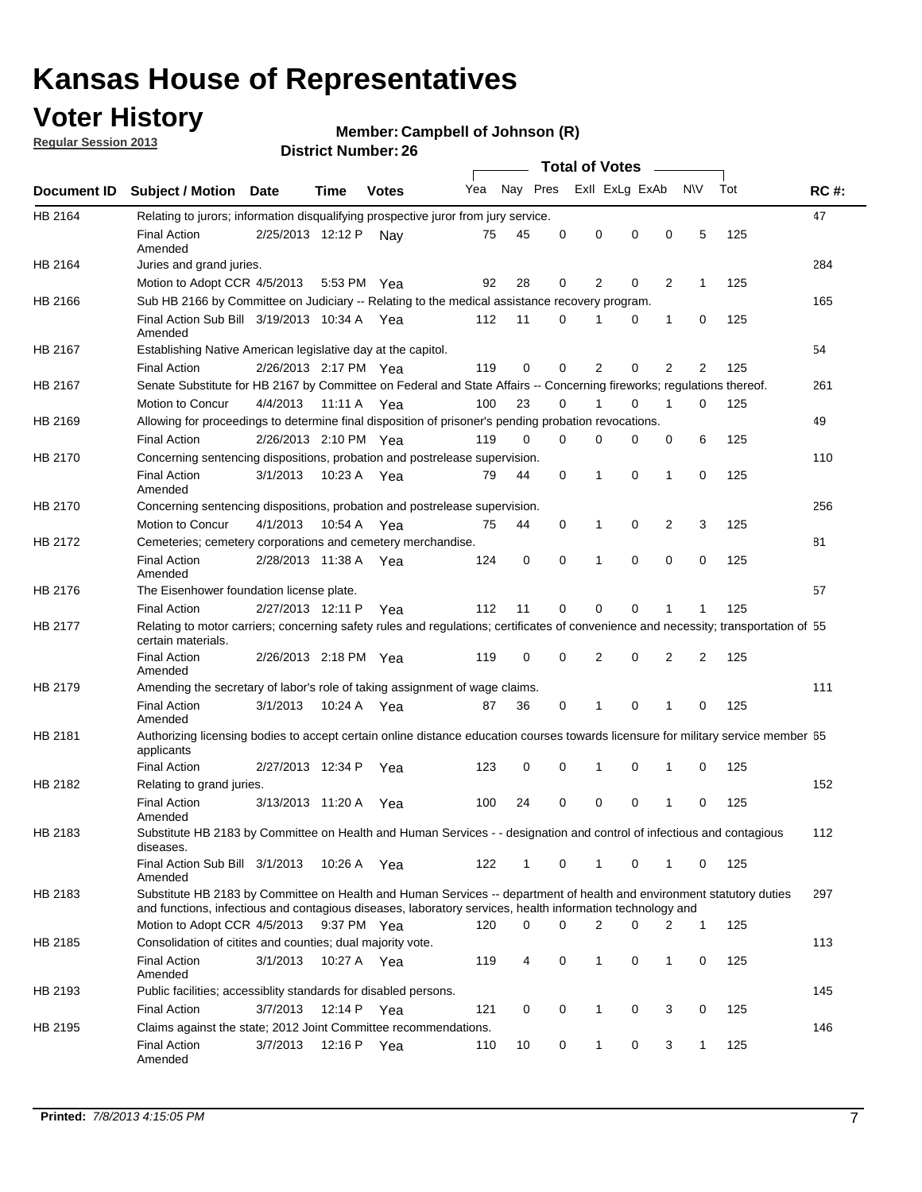## **Voter History**

**Regular Session 2013**

#### **Member: Campbell of Johnson (R)**

|                    |                                                                                                                                                                                                                                    |                       |             | וסוווטג וזעווווערו. בע |              |              |          | <b>Total of Votes</b> |          | $\sim$ |                |     |             |
|--------------------|------------------------------------------------------------------------------------------------------------------------------------------------------------------------------------------------------------------------------------|-----------------------|-------------|------------------------|--------------|--------------|----------|-----------------------|----------|--------|----------------|-----|-------------|
| <b>Document ID</b> | <b>Subject / Motion Date</b>                                                                                                                                                                                                       |                       | Time        | <b>Votes</b>           | Yea Nay Pres |              |          | Exll ExLg ExAb        |          |        | <b>NV</b>      | Tot | <b>RC#:</b> |
| HB 2164            | Relating to jurors; information disqualifying prospective juror from jury service.                                                                                                                                                 |                       |             |                        |              |              |          |                       |          |        |                |     | 47          |
|                    | <b>Final Action</b><br>Amended                                                                                                                                                                                                     | 2/25/2013 12:12 P     |             | Nav                    | 75           | 45           | 0        | 0                     | 0        | 0      | 5              | 125 |             |
| HB 2164            | Juries and grand juries.                                                                                                                                                                                                           |                       |             |                        |              |              |          |                       |          |        |                |     | 284         |
|                    | Motion to Adopt CCR 4/5/2013                                                                                                                                                                                                       |                       | 5:53 PM Yea |                        | 92           | 28           | 0        | 2                     | 0        | 2      | $\mathbf{1}$   | 125 |             |
| HB 2166            | Sub HB 2166 by Committee on Judiciary -- Relating to the medical assistance recovery program.                                                                                                                                      |                       |             |                        |              |              |          |                       |          |        |                |     | 165         |
|                    | Final Action Sub Bill 3/19/2013 10:34 A Yea<br>Amended                                                                                                                                                                             |                       |             |                        | 112          | 11           | 0        | 1                     | 0        | 1      | 0              | 125 |             |
| HB 2167            | Establishing Native American legislative day at the capitol.                                                                                                                                                                       |                       |             |                        |              |              |          |                       |          |        |                |     | 54          |
|                    | <b>Final Action</b>                                                                                                                                                                                                                | 2/26/2013 2:17 PM Yea |             |                        | 119          | 0            | 0        | 2                     | 0        | 2      | 2              | 125 |             |
| HB 2167            | Senate Substitute for HB 2167 by Committee on Federal and State Affairs -- Concerning fireworks; regulations thereof.                                                                                                              |                       |             |                        |              |              |          |                       |          |        |                |     | 261         |
|                    | Motion to Concur                                                                                                                                                                                                                   | 4/4/2013              | 11:11 A Yea |                        | 100          | 23           | 0        | 1                     | 0        | 1      | 0              | 125 |             |
| HB 2169            | Allowing for proceedings to determine final disposition of prisoner's pending probation revocations.                                                                                                                               |                       |             |                        |              |              |          |                       |          |        |                |     | 49          |
|                    | <b>Final Action</b>                                                                                                                                                                                                                | 2/26/2013 2:10 PM Yea |             |                        | 119          | 0            | 0        | 0                     | 0        | 0      | 6              | 125 |             |
| HB 2170            | Concerning sentencing dispositions, probation and postrelease supervision.                                                                                                                                                         |                       |             |                        |              |              |          |                       |          |        |                |     | 110         |
|                    | <b>Final Action</b><br>Amended                                                                                                                                                                                                     | 3/1/2013              | 10:23 A Yea |                        | 79           | 44           | 0        | 1                     | 0        | 1      | 0              | 125 |             |
| HB 2170            | Concerning sentencing dispositions, probation and postrelease supervision.                                                                                                                                                         |                       |             |                        |              |              |          |                       |          |        |                |     | 256         |
|                    | Motion to Concur                                                                                                                                                                                                                   | 4/1/2013              | 10:54 A     | Yea                    | 75           | 44           | 0        | 1                     | 0        | 2      | 3              | 125 |             |
| HB 2172            | Cemeteries; cemetery corporations and cemetery merchandise.                                                                                                                                                                        |                       |             |                        |              |              |          |                       |          |        |                |     | 81          |
|                    | <b>Final Action</b><br>Amended                                                                                                                                                                                                     | 2/28/2013 11:38 A Yea |             |                        | 124          | 0            | $\Omega$ | 1                     | $\Omega$ | 0      | 0              | 125 |             |
| HB 2176            | The Eisenhower foundation license plate.                                                                                                                                                                                           |                       |             |                        |              |              |          |                       |          |        |                |     | 57          |
|                    | <b>Final Action</b>                                                                                                                                                                                                                | 2/27/2013 12:11 P     |             | Yea                    | 112          | 11           | 0        | 0                     | 0        |        | 1              | 125 |             |
| HB 2177            | Relating to motor carriers; concerning safety rules and regulations; certificates of convenience and necessity; transportation of 55<br>certain materials.                                                                         |                       |             |                        |              |              |          |                       |          |        |                |     |             |
|                    | <b>Final Action</b><br>Amended                                                                                                                                                                                                     | 2/26/2013 2:18 PM Yea |             |                        | 119          | 0            | 0        | 2                     | 0        | 2      | $\overline{2}$ | 125 |             |
| HB 2179            | Amending the secretary of labor's role of taking assignment of wage claims.                                                                                                                                                        |                       |             |                        |              |              |          |                       |          |        |                |     | 111         |
|                    | <b>Final Action</b><br>Amended                                                                                                                                                                                                     | 3/1/2013              | 10:24 A Yea |                        | 87           | 36           | 0        | 1                     | $\Omega$ |        | 0              | 125 |             |
| HB 2181            | Authorizing licensing bodies to accept certain online distance education courses towards licensure for military service member 55<br>applicants                                                                                    |                       |             |                        |              |              |          |                       |          |        |                |     |             |
|                    | <b>Final Action</b>                                                                                                                                                                                                                | 2/27/2013 12:34 P     |             | Yea                    | 123          | 0            | 0        | 1                     | 0        | 1      | 0              | 125 |             |
| HB 2182            | Relating to grand juries.                                                                                                                                                                                                          |                       |             |                        |              |              |          |                       |          |        |                |     | 152         |
|                    | <b>Final Action</b><br>Amended                                                                                                                                                                                                     | 3/13/2013 11:20 A     |             | Yea                    | 100          | 24           | 0        | 0                     | 0        | 1      | 0              | 125 |             |
| HB 2183            | Substitute HB 2183 by Committee on Health and Human Services - - designation and control of infectious and contagious<br>diseases.                                                                                                 |                       |             |                        |              |              |          |                       |          |        |                |     | 112         |
|                    | Final Action Sub Bill 3/1/2013<br>Amended                                                                                                                                                                                          |                       |             | 10:26 A Yea            | 122          | $\mathbf{1}$ | 0        | 1                     | 0        | 1      | 0              | 125 |             |
| HB 2183            | Substitute HB 2183 by Committee on Health and Human Services -- department of health and environment statutory duties<br>and functions, infectious and contagious diseases, laboratory services, health information technology and |                       |             |                        |              |              |          |                       |          |        |                |     | 297         |
|                    | Motion to Adopt CCR 4/5/2013                                                                                                                                                                                                       |                       | 9:37 PM Yea |                        | 120          | 0            | 0        | 2                     | 0        | 2      | $\mathbf 1$    | 125 |             |
| HB 2185            | Consolidation of citites and counties; dual majority vote.                                                                                                                                                                         |                       |             |                        |              |              |          |                       |          |        |                |     | 113         |
|                    | <b>Final Action</b><br>Amended                                                                                                                                                                                                     | 3/1/2013              |             | 10:27 A Yea            | 119          | 4            | 0        | 1                     | 0        | 1      | 0              | 125 |             |
| HB 2193            | Public facilities; accessiblity standards for disabled persons.                                                                                                                                                                    |                       |             |                        |              |              |          |                       |          |        |                |     | 145         |
|                    | <b>Final Action</b>                                                                                                                                                                                                                | 3/7/2013              | 12:14 P     | Yea                    | 121          | 0            | 0        | 1                     | 0        | 3      | 0              | 125 |             |
| HB 2195            | Claims against the state; 2012 Joint Committee recommendations.                                                                                                                                                                    |                       |             |                        |              |              |          |                       |          |        |                |     | 146         |
|                    | <b>Final Action</b><br>Amended                                                                                                                                                                                                     | 3/7/2013              | 12:16 P Yea |                        | 110          | 10           | 0        | $\mathbf{1}$          | 0        | 3      | $\mathbf{1}$   | 125 |             |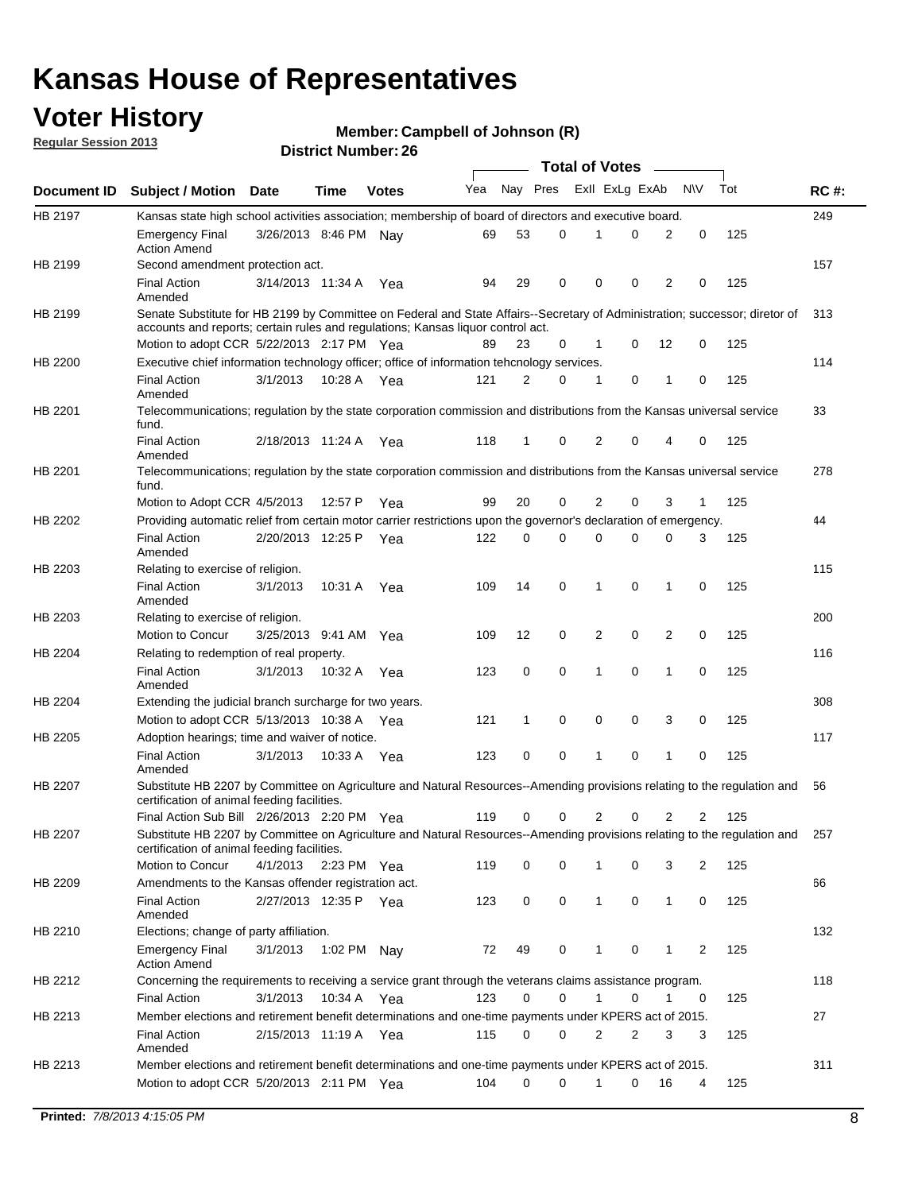## **Voter History**

**Member: Campbell of Johnson (R)** 

**Regular Session 2013**

|                |                                                                                                                                                                             |                       |             |              |     |          |          | <b>Total of Votes</b> |   |              |            |     |             |
|----------------|-----------------------------------------------------------------------------------------------------------------------------------------------------------------------------|-----------------------|-------------|--------------|-----|----------|----------|-----------------------|---|--------------|------------|-----|-------------|
| Document ID    | <b>Subject / Motion Date</b>                                                                                                                                                |                       | Time        | <b>Votes</b> | Yea | Nay Pres |          | Exll ExLg ExAb        |   |              | <b>N/A</b> | Tot | <b>RC#:</b> |
| HB 2197        | Kansas state high school activities association; membership of board of directors and executive board.                                                                      |                       |             |              |     |          |          |                       |   |              |            |     | 249         |
|                | Emergency Final<br><b>Action Amend</b>                                                                                                                                      | 3/26/2013 8:46 PM     |             | Nav          | 69  | 53       | 0        |                       | 0 | 2            | 0          | 125 |             |
| HB 2199        | Second amendment protection act.                                                                                                                                            |                       |             |              |     |          |          |                       |   |              |            |     | 157         |
|                | <b>Final Action</b><br>Amended                                                                                                                                              | 3/14/2013 11:34 A     |             | Yea          | 94  | 29       | 0        | 0                     | 0 | 2            | 0          | 125 |             |
| HB 2199        | Senate Substitute for HB 2199 by Committee on Federal and State Affairs--Secretary of Administration; successor; diretor of                                                 |                       |             |              |     |          |          |                       |   |              |            |     | 313         |
|                | accounts and reports; certain rules and regulations; Kansas liguor control act.                                                                                             |                       |             |              |     |          |          |                       |   |              |            |     |             |
|                | Motion to adopt CCR 5/22/2013 2:17 PM Yea                                                                                                                                   |                       |             |              | 89  | 23       | 0        | 1                     | 0 | 12           | 0          | 125 |             |
| HB 2200        | Executive chief information technology officer; office of information tehcnology services.                                                                                  |                       |             |              |     |          |          |                       |   |              |            |     | 114         |
|                | <b>Final Action</b><br>Amended                                                                                                                                              | 3/1/2013              | 10:28 A     | Yea          | 121 | 2        | 0        | 1                     | 0 | 1            | 0          | 125 |             |
| HB 2201        | Telecommunications; regulation by the state corporation commission and distributions from the Kansas universal service<br>fund.                                             |                       |             |              |     |          |          |                       |   |              |            |     | 33          |
|                | <b>Final Action</b><br>Amended                                                                                                                                              | 2/18/2013 11:24 A     |             | Yea          | 118 | 1        | 0        | 2                     | 0 | 4            | 0          | 125 |             |
| HB 2201        | Telecommunications; regulation by the state corporation commission and distributions from the Kansas universal service<br>fund.                                             |                       |             |              |     |          |          |                       |   |              |            |     | 278         |
|                | Motion to Adopt CCR 4/5/2013                                                                                                                                                |                       | 12:57 P     | Yea          | 99  | 20       | 0        | 2                     | 0 | 3            | 1          | 125 |             |
| HB 2202        | Providing automatic relief from certain motor carrier restrictions upon the governor's declaration of emergency.                                                            |                       |             |              |     |          |          |                       |   |              |            |     | 44          |
|                | <b>Final Action</b><br>Amended                                                                                                                                              | 2/20/2013 12:25 P     |             | Yea          | 122 | 0        | 0        | 0                     | 0 | 0            | 3          | 125 |             |
| HB 2203        | Relating to exercise of religion.                                                                                                                                           |                       |             |              |     |          |          |                       |   |              |            |     | 115         |
|                | <b>Final Action</b><br>Amended                                                                                                                                              | 3/1/2013              | 10:31 A     | Yea          | 109 | 14       | 0        | 1                     | 0 | 1            | 0          | 125 |             |
| HB 2203        | Relating to exercise of religion.                                                                                                                                           |                       |             |              |     |          |          |                       |   |              |            |     | 200         |
|                | Motion to Concur                                                                                                                                                            | 3/25/2013 9:41 AM     |             | Yea          | 109 | 12       | 0        | 2                     | 0 | 2            | 0          | 125 |             |
| HB 2204        | Relating to redemption of real property.                                                                                                                                    |                       |             |              |     |          |          |                       |   |              |            |     | 116         |
|                | <b>Final Action</b><br>Amended                                                                                                                                              | 3/1/2013              | 10:32 A     | Yea          | 123 | 0        | 0        | 1                     | 0 | 1            | 0          | 125 |             |
| HB 2204        | Extending the judicial branch surcharge for two years.                                                                                                                      |                       |             |              |     |          |          |                       |   |              |            |     | 308         |
|                | Motion to adopt CCR 5/13/2013 10:38 A                                                                                                                                       |                       |             | Yea          | 121 | 1        | 0        | 0                     | 0 | 3            | 0          | 125 |             |
| HB 2205        | Adoption hearings; time and waiver of notice.                                                                                                                               |                       |             |              |     |          |          |                       |   |              |            |     | 117         |
|                | <b>Final Action</b><br>Amended                                                                                                                                              | 3/1/2013              | 10:33 A Yea |              | 123 | 0        | 0        | 1                     | 0 | 1            | 0          | 125 |             |
| HB 2207        | Substitute HB 2207 by Committee on Agriculture and Natural Resources--Amending provisions relating to the regulation and<br>certification of animal feeding facilities.     |                       |             |              |     |          |          |                       |   |              |            |     | 56          |
|                | Final Action Sub Bill 2/26/2013 2:20 PM Yea                                                                                                                                 |                       |             |              | 119 | 0        | 0        | 2                     | 0 | 2            | 2          | 125 |             |
| <b>HB 2207</b> | Substitute HB 2207 by Committee on Agriculture and Natural Resources--Amending provisions relating to the regulation and 257<br>certification of animal feeding facilities. |                       |             |              |     |          |          |                       |   |              |            |     |             |
|                | Motion to Concur                                                                                                                                                            | 4/1/2013 2:23 PM Yea  |             |              | 119 | 0        | 0        | 1                     | 0 | 3            | 2          | 125 |             |
| HB 2209        | Amendments to the Kansas offender registration act.                                                                                                                         |                       |             |              |     |          |          |                       |   |              |            |     | 66          |
|                | <b>Final Action</b><br>Amended                                                                                                                                              | 2/27/2013 12:35 P Yea |             |              | 123 | 0        | 0        | $\mathbf{1}$          | 0 | $\mathbf{1}$ | 0          | 125 |             |
| HB 2210        | Elections; change of party affiliation.                                                                                                                                     |                       |             |              |     |          |          |                       |   |              |            |     | 132         |
|                | <b>Emergency Final</b><br><b>Action Amend</b>                                                                                                                               | 3/1/2013              | 1:02 PM Nay |              | 72  | 49       | 0        |                       | 0 | 1            | 2          | 125 |             |
| HB 2212        | Concerning the requirements to receiving a service grant through the veterans claims assistance program.                                                                    |                       |             |              |     |          |          |                       |   |              |            |     | 118         |
|                | Final Action                                                                                                                                                                | 3/1/2013              | 10:34 A Yea |              | 123 | 0        | 0        | $\mathbf{1}$          | 0 | 1            | 0          | 125 |             |
| HB 2213        | Member elections and retirement benefit determinations and one-time payments under KPERS act of 2015.                                                                       |                       |             |              |     |          |          |                       |   |              |            |     | 27          |
|                | <b>Final Action</b><br>Amended                                                                                                                                              | 2/15/2013 11:19 A Yea |             |              | 115 | 0        | 0        | 2                     | 2 | 3            | 3          | 125 |             |
| HB 2213        | Member elections and retirement benefit determinations and one-time payments under KPERS act of 2015.                                                                       |                       |             |              |     |          |          |                       |   |              |            |     | 311         |
|                | Motion to adopt CCR 5/20/2013 2:11 PM Yea                                                                                                                                   |                       |             |              | 104 | $\Omega$ | $\Omega$ | 1                     | 0 | 16           | 4          | 125 |             |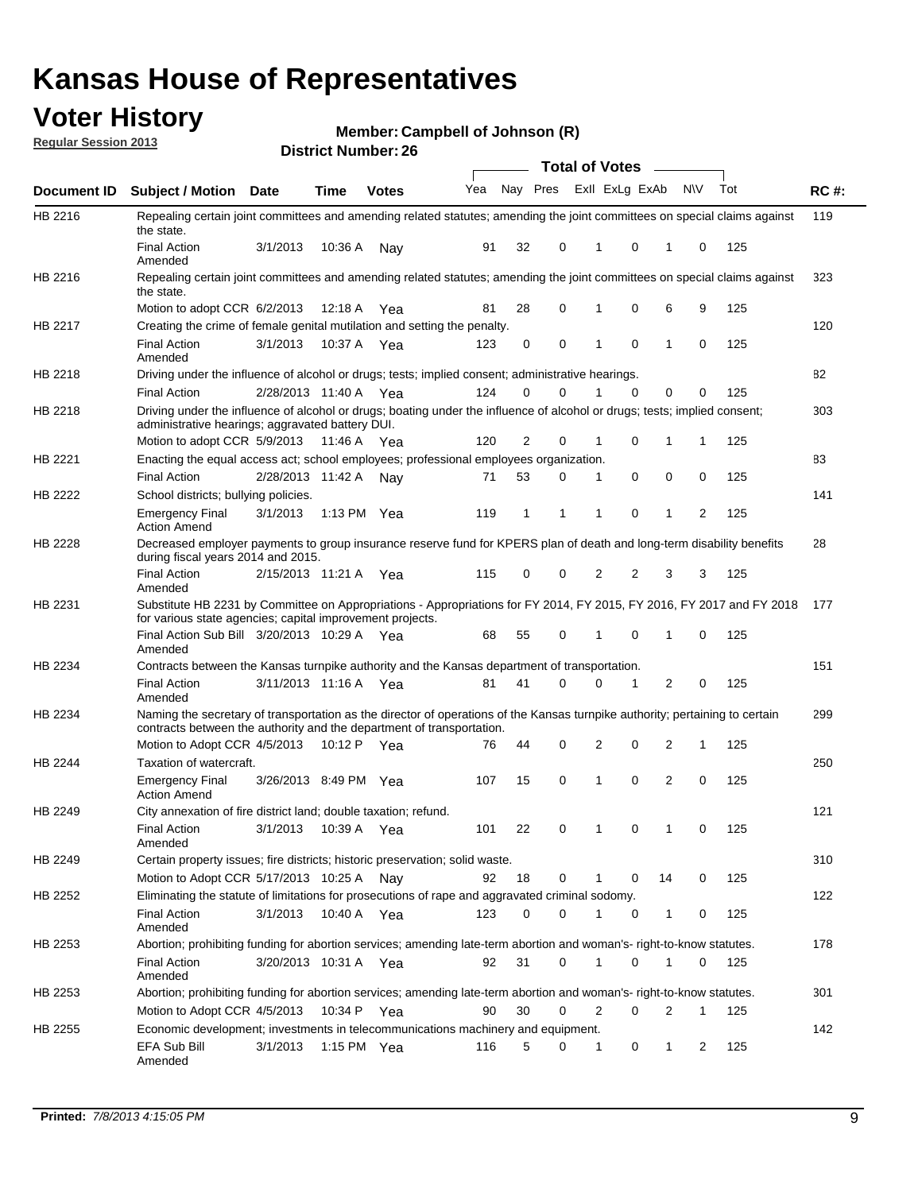## **Voter History**

**Member: Campbell of Johnson (R)** 

**Regular Session 2013**

|                    |                                                                                                                                                                                                       |                       |             | PIJU IVI INUIIIVU . LV |     |              |          | <b>Total of Votes</b> |                         | $\overline{\phantom{a}}$ |           |     |             |
|--------------------|-------------------------------------------------------------------------------------------------------------------------------------------------------------------------------------------------------|-----------------------|-------------|------------------------|-----|--------------|----------|-----------------------|-------------------------|--------------------------|-----------|-----|-------------|
| <b>Document ID</b> | <b>Subject / Motion</b>                                                                                                                                                                               | Date                  | Time        | <b>Votes</b>           | Yea |              |          |                       | Nay Pres Exll ExLg ExAb |                          | <b>NV</b> | Tot | <b>RC#:</b> |
| HB 2216            | Repealing certain joint committees and amending related statutes; amending the joint committees on special claims against<br>the state.                                                               |                       |             |                        |     |              |          |                       |                         |                          |           |     | 119         |
|                    | <b>Final Action</b><br>Amended                                                                                                                                                                        | 3/1/2013              | 10:36 A     | Nay                    | 91  | 32           | 0        | 1                     | 0                       | 1                        | 0         | 125 |             |
| HB 2216            | Repealing certain joint committees and amending related statutes; amending the joint committees on special claims against<br>the state.                                                               |                       |             |                        |     |              |          |                       |                         |                          |           |     | 323         |
|                    | Motion to adopt CCR 6/2/2013                                                                                                                                                                          |                       | 12:18 A     | Yea                    | 81  | 28           | 0        | 1                     | 0                       | 6                        | 9         | 125 |             |
| HB 2217            | Creating the crime of female genital mutilation and setting the penalty.                                                                                                                              |                       |             |                        |     |              |          |                       |                         |                          |           |     | 120         |
|                    | <b>Final Action</b><br>Amended                                                                                                                                                                        | 3/1/2013              |             | 10:37 A Yea            | 123 | 0            | 0        | 1                     | $\mathbf 0$             | $\mathbf{1}$             | 0         | 125 |             |
| HB 2218            | Driving under the influence of alcohol or drugs; tests; implied consent; administrative hearings.                                                                                                     |                       |             |                        |     |              |          |                       |                         |                          |           |     | 82          |
|                    | <b>Final Action</b>                                                                                                                                                                                   | 2/28/2013 11:40 A Yea |             |                        | 124 | 0            | 0        | 1                     | $\Omega$                | 0                        | 0         | 125 |             |
| HB 2218            | Driving under the influence of alcohol or drugs; boating under the influence of alcohol or drugs; tests; implied consent;<br>administrative hearings; aggravated battery DUI.                         |                       |             |                        |     |              |          |                       |                         |                          |           |     | 303         |
|                    | Motion to adopt CCR 5/9/2013                                                                                                                                                                          |                       | 11:46 A Yea |                        | 120 | 2            | 0        | 1                     | 0                       | 1                        | 1         | 125 |             |
| HB 2221            | Enacting the equal access act; school employees; professional employees organization.                                                                                                                 |                       |             |                        |     |              |          |                       |                         |                          |           |     | 83          |
|                    | <b>Final Action</b>                                                                                                                                                                                   | 2/28/2013 11:42 A     |             | Nav                    | 71  | 53           | 0        | 1                     | 0                       | 0                        | 0         | 125 |             |
| HB 2222            | School districts; bullying policies.<br><b>Emergency Final</b>                                                                                                                                        | 3/1/2013              |             | 1:13 PM Yea            | 119 | $\mathbf{1}$ | 1        | 1                     | 0                       | $\mathbf{1}$             | 2         | 125 | 141         |
|                    | <b>Action Amend</b>                                                                                                                                                                                   |                       |             |                        |     |              |          |                       |                         |                          |           |     |             |
| HB 2228            | Decreased employer payments to group insurance reserve fund for KPERS plan of death and long-term disability benefits<br>during fiscal years 2014 and 2015.                                           |                       |             |                        |     |              |          |                       |                         |                          |           |     | 28          |
|                    | <b>Final Action</b><br>Amended                                                                                                                                                                        | 2/15/2013 11:21 A Yea |             |                        | 115 | 0            | 0        | 2                     | 2                       | 3                        | 3         | 125 |             |
| HB 2231            | Substitute HB 2231 by Committee on Appropriations - Appropriations for FY 2014, FY 2015, FY 2016, FY 2017 and FY 2018<br>for various state agencies; capital improvement projects.                    |                       |             |                        |     |              |          |                       |                         |                          |           |     | 177         |
|                    | Final Action Sub Bill 3/20/2013 10:29 A Yea<br>Amended                                                                                                                                                |                       |             |                        | 68  | 55           | 0        |                       | 0                       | 1                        | 0         | 125 |             |
| HB 2234            | Contracts between the Kansas turnpike authority and the Kansas department of transportation.                                                                                                          |                       |             |                        |     |              |          |                       |                         |                          |           |     | 151         |
|                    | <b>Final Action</b><br>Amended                                                                                                                                                                        | 3/11/2013 11:16 A Yea |             |                        | 81  | 41           | $\Omega$ | 0                     | 1                       | $\overline{2}$           | 0         | 125 |             |
| HB 2234            | Naming the secretary of transportation as the director of operations of the Kansas turnpike authority; pertaining to certain<br>contracts between the authority and the department of transportation. |                       |             |                        |     |              |          |                       |                         |                          |           |     | 299         |
|                    | Motion to Adopt CCR 4/5/2013                                                                                                                                                                          |                       | 10:12 P     | Yea                    | 76  | 44           | 0        | 2                     | 0                       | 2                        | 1         | 125 |             |
| HB 2244            | Taxation of watercraft.<br><b>Emergency Final</b>                                                                                                                                                     | 3/26/2013 8:49 PM Yea |             |                        | 107 | 15           | 0        | 1                     | 0                       | 2                        | 0         | 125 | 250         |
|                    | <b>Action Amend</b>                                                                                                                                                                                   |                       |             |                        |     |              |          |                       |                         |                          |           |     |             |
| HB 2249            | City annexation of fire district land; double taxation; refund.                                                                                                                                       |                       |             |                        |     |              |          |                       |                         |                          |           |     | 121         |
|                    | Final Action 3/1/2013 10:39 A Yea<br>Amended                                                                                                                                                          |                       |             |                        | 101 | 22           | 0        | $\mathbf{1}$          | 0                       | $\mathbf{1}$             | 0         | 125 |             |
| HB 2249            | Certain property issues; fire districts; historic preservation; solid waste.                                                                                                                          |                       |             |                        |     |              |          |                       |                         |                          |           |     | 310         |
|                    | Motion to Adopt CCR 5/17/2013 10:25 A Nav                                                                                                                                                             |                       |             |                        | 92  | 18           | 0        | 1                     | 0                       | 14                       | 0         | 125 |             |
| HB 2252            | Eliminating the statute of limitations for prosecutions of rape and aggravated criminal sodomy.                                                                                                       |                       |             |                        |     |              |          |                       |                         |                          |           |     | 122         |
|                    | <b>Final Action</b><br>Amended                                                                                                                                                                        | 3/1/2013              |             | 10:40 A Yea            | 123 | 0            | 0        | 1                     | 0                       | $\mathbf{1}$             | 0         | 125 |             |
| HB 2253            | Abortion; prohibiting funding for abortion services; amending late-term abortion and woman's- right-to-know statutes.                                                                                 |                       |             |                        |     |              |          |                       |                         |                          |           |     | 178         |
|                    | <b>Final Action</b><br>Amended                                                                                                                                                                        | 3/20/2013 10:31 A Yea |             |                        | 92  | 31           | 0        | 1                     | 0                       | 1                        | 0         | 125 |             |
| HB 2253            | Abortion; prohibiting funding for abortion services; amending late-term abortion and woman's- right-to-know statutes.                                                                                 |                       |             |                        |     |              |          |                       |                         |                          |           |     | 301         |
|                    | Motion to Adopt CCR 4/5/2013                                                                                                                                                                          |                       |             | 10:34 P Yea            | 90  | 30           | 0        | 2                     | 0                       | 2                        | 1         | 125 |             |
| HB 2255            | Economic development; investments in telecommunications machinery and equipment.                                                                                                                      |                       |             |                        |     |              |          |                       |                         |                          |           |     | 142         |
|                    | EFA Sub Bill<br>Amended                                                                                                                                                                               | 3/1/2013              |             | 1:15 PM $Yea$          | 116 | 5            | 0        | 1                     | 0                       | 1                        | 2         | 125 |             |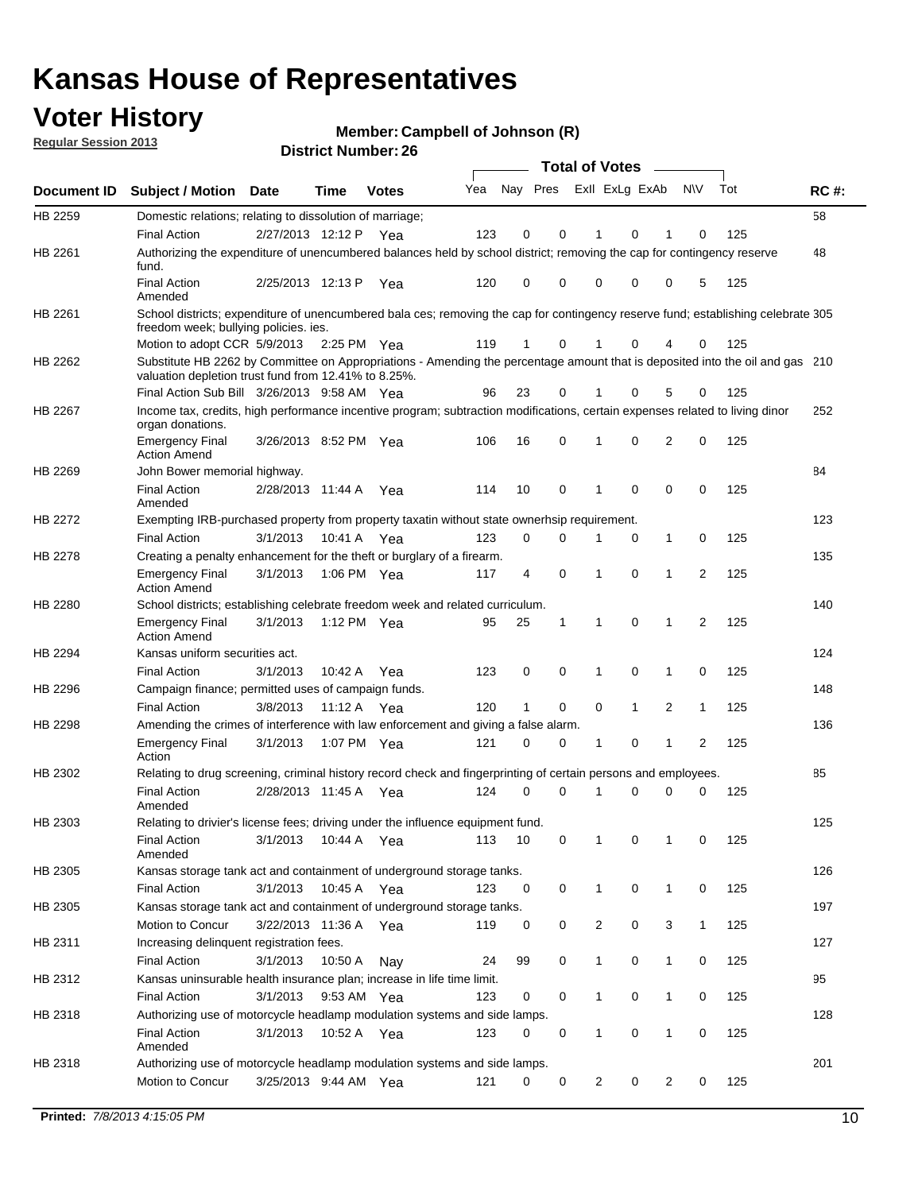## **Voter History**

**Member: Campbell of Johnson (R)** 

**Regular Session 2013**

|             |                                                                                                                                                                                       |                       |             |               |     |          |   | <b>Total of Votes</b> |              |                |                |     |             |
|-------------|---------------------------------------------------------------------------------------------------------------------------------------------------------------------------------------|-----------------------|-------------|---------------|-----|----------|---|-----------------------|--------------|----------------|----------------|-----|-------------|
| Document ID | <b>Subject / Motion</b>                                                                                                                                                               | <b>Date</b>           | Time        | <b>Votes</b>  | Yea | Nay Pres |   | Exll ExLg ExAb        |              |                | <b>NV</b>      | Tot | <b>RC#:</b> |
| HB 2259     | Domestic relations; relating to dissolution of marriage;                                                                                                                              |                       |             |               |     |          |   |                       |              |                |                |     | 58          |
|             | <b>Final Action</b>                                                                                                                                                                   | 2/27/2013 12:12 P     |             | Yea           | 123 | 0        | 0 |                       | 0            |                | 0              | 125 |             |
| HB 2261     | Authorizing the expenditure of unencumbered balances held by school district; removing the cap for contingency reserve<br>fund.                                                       |                       |             |               |     |          |   |                       |              |                |                |     | 48          |
|             | <b>Final Action</b><br>Amended                                                                                                                                                        | 2/25/2013 12:13 P     |             | Yea           | 120 | 0        | 0 | 0                     | 0            | 0              | 5              | 125 |             |
| HB 2261     | School districts; expenditure of unencumbered bala ces; removing the cap for contingency reserve fund; establishing celebrate 305<br>freedom week; bullying policies. ies.            |                       |             |               |     |          |   |                       |              |                |                |     |             |
|             | Motion to adopt CCR 5/9/2013                                                                                                                                                          |                       |             | 2:25 PM $Yea$ | 119 | 1        | 0 | 1                     | 0            | 4              | 0              | 125 |             |
| HB 2262     | Substitute HB 2262 by Committee on Appropriations - Amending the percentage amount that is deposited into the oil and gas 210<br>valuation depletion trust fund from 12.41% to 8.25%. |                       |             |               |     |          |   |                       |              |                |                |     |             |
|             | Final Action Sub Bill 3/26/2013 9:58 AM Yea                                                                                                                                           |                       |             |               | 96  | 23       | 0 |                       | 0            | 5              | 0              | 125 |             |
| HB 2267     | Income tax, credits, high performance incentive program; subtraction modifications, certain expenses related to living dinor<br>organ donations.                                      |                       |             |               |     |          |   |                       |              |                |                |     | 252         |
|             | <b>Emergency Final</b><br><b>Action Amend</b>                                                                                                                                         | 3/26/2013 8:52 PM Yea |             |               | 106 | 16       | 0 | 1                     | 0            | $\overline{2}$ | 0              | 125 |             |
| HB 2269     | John Bower memorial highway.                                                                                                                                                          |                       |             |               |     |          |   |                       |              |                |                |     | 84          |
|             | <b>Final Action</b><br>Amended                                                                                                                                                        | 2/28/2013 11:44 A     |             | Yea           | 114 | 10       | 0 | 1                     | 0            | 0              | 0              | 125 |             |
| HB 2272     | Exempting IRB-purchased property from property taxatin without state ownerhsip requirement.                                                                                           |                       |             |               |     |          |   |                       |              |                |                |     | 123         |
|             | <b>Final Action</b>                                                                                                                                                                   | 3/1/2013              |             | 10:41 A Yea   | 123 | 0        | 0 | 1                     | 0            | $\mathbf{1}$   | 0              | 125 |             |
| HB 2278     | Creating a penalty enhancement for the theft or burglary of a firearm.                                                                                                                |                       |             |               |     |          |   |                       |              |                |                |     | 135         |
|             | <b>Emergency Final</b><br><b>Action Amend</b>                                                                                                                                         | 3/1/2013              |             | 1:06 PM Yea   | 117 | 4        | 0 | 1                     | 0            | 1              | 2              | 125 |             |
| HB 2280     | School districts; establishing celebrate freedom week and related curriculum.                                                                                                         |                       |             |               |     |          |   |                       |              |                |                |     | 140         |
|             | <b>Emergency Final</b><br><b>Action Amend</b>                                                                                                                                         | 3/1/2013              | 1:12 PM Yea |               | 95  | 25       | 1 | $\mathbf 1$           | $\mathbf 0$  | 1              | 2              | 125 |             |
| HB 2294     | Kansas uniform securities act.                                                                                                                                                        |                       |             |               |     |          |   |                       |              |                |                |     | 124         |
|             | <b>Final Action</b>                                                                                                                                                                   | 3/1/2013              | 10:42 A     | Yea           | 123 | 0        | 0 | 1                     | 0            | 1              | 0              | 125 |             |
| HB 2296     | Campaign finance; permitted uses of campaign funds.                                                                                                                                   |                       |             |               |     |          |   |                       |              |                |                |     | 148         |
|             | <b>Final Action</b>                                                                                                                                                                   | 3/8/2013              |             | 11:12 A Yea   | 120 | 1        | 0 | 0                     | $\mathbf{1}$ | $\overline{2}$ | $\mathbf{1}$   | 125 |             |
| HB 2298     | Amending the crimes of interference with law enforcement and giving a false alarm.                                                                                                    |                       |             |               |     |          |   |                       |              |                |                |     | 136         |
|             | <b>Emergency Final</b><br>Action                                                                                                                                                      | 3/1/2013              |             | 1:07 PM Yea   | 121 | 0        | 0 | 1                     | 0            | 1              | $\overline{2}$ | 125 |             |
| HB 2302     | Relating to drug screening, criminal history record check and fingerprinting of certain persons and employees.                                                                        |                       |             |               |     |          |   |                       |              |                |                |     | 85          |
|             | <b>Final Action</b><br>Amended                                                                                                                                                        | 2/28/2013 11:45 A     |             | Yea           | 124 | 0        | 0 | 1                     | 0            | 0              | 0              | 125 |             |
| HB 2303     | Relating to drivier's license fees; driving under the influence equipment fund.                                                                                                       |                       |             |               |     |          |   |                       |              |                |                |     | 125         |
|             | <b>Final Action</b><br>Amended                                                                                                                                                        | 3/1/2013 10:44 A Yea  |             |               | 113 | 10       | 0 | $\mathbf{1}$          | 0            |                | 0              | 125 |             |
| HB 2305     | Kansas storage tank act and containment of underground storage tanks.                                                                                                                 |                       |             |               |     |          |   |                       |              |                |                |     | 126         |
|             | <b>Final Action</b>                                                                                                                                                                   | 3/1/2013              | 10:45 A     | Yea           | 123 | 0        | 0 | $\mathbf 1$           | 0            | $\mathbf{1}$   | 0              | 125 |             |
| HB 2305     | Kansas storage tank act and containment of underground storage tanks.                                                                                                                 |                       |             |               |     |          |   |                       |              |                |                |     | 197         |
|             | Motion to Concur                                                                                                                                                                      | 3/22/2013 11:36 A Yea |             |               | 119 | 0        | 0 | 2                     | 0            | 3              | $\mathbf{1}$   | 125 |             |
| HB 2311     | Increasing delinquent registration fees.                                                                                                                                              |                       |             |               |     |          |   |                       |              |                |                |     | 127         |
|             | <b>Final Action</b>                                                                                                                                                                   | 3/1/2013              | 10:50 A     | Nay           | 24  | 99       | 0 | 1                     | 0            | 1              | 0              | 125 |             |
| HB 2312     | Kansas uninsurable health insurance plan; increase in life time limit.<br><b>Final Action</b>                                                                                         | 3/1/2013              |             | 9:53 AM Yea   | 123 | 0        | 0 | $\mathbf 1$           | 0            | 1              | 0              | 125 | 95          |
| HB 2318     | Authorizing use of motorcycle headlamp modulation systems and side lamps.                                                                                                             |                       |             |               |     |          |   |                       |              |                |                |     | 128         |
|             | <b>Final Action</b><br>Amended                                                                                                                                                        | 3/1/2013              | 10:52 A Yea |               | 123 | 0        | 0 | 1                     | 0            | 1              | 0              | 125 |             |
| HB 2318     | Authorizing use of motorcycle headlamp modulation systems and side lamps.                                                                                                             |                       |             |               |     |          |   |                       |              |                |                |     | 201         |
|             | Motion to Concur                                                                                                                                                                      | 3/25/2013 9:44 AM Yea |             |               | 121 | 0        | 0 | $\overline{2}$        | 0            | $\overline{2}$ | 0              | 125 |             |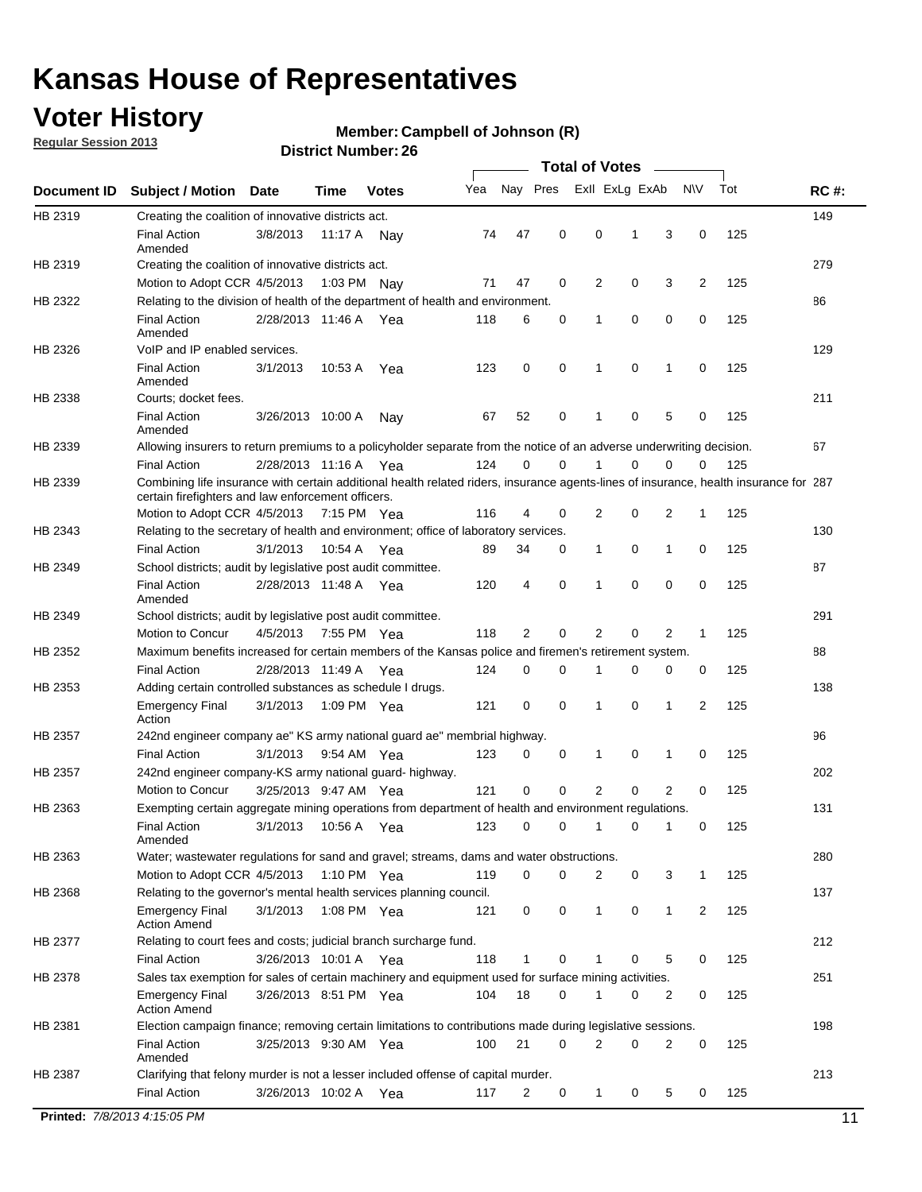## **Voter History**

**Regular Session 2013**

#### **Member: Campbell of Johnson (R)**

|             |                                                                                                                                                                                             |                       |                   |              |     |             |             | <b>Total of Votes</b> |   |                |           |     |             |
|-------------|---------------------------------------------------------------------------------------------------------------------------------------------------------------------------------------------|-----------------------|-------------------|--------------|-----|-------------|-------------|-----------------------|---|----------------|-----------|-----|-------------|
| Document ID | <b>Subject / Motion</b>                                                                                                                                                                     | Date                  | Time              | <b>Votes</b> | Yea | Nay Pres    |             | Exll ExLg ExAb        |   |                | <b>NV</b> | Tot | <b>RC#:</b> |
| HB 2319     | Creating the coalition of innovative districts act.                                                                                                                                         |                       |                   |              |     |             |             |                       |   |                |           |     | 149         |
|             | <b>Final Action</b><br>Amended                                                                                                                                                              | 3/8/2013              | 11:17 A           | Nav          | 74  | 47          | 0           | 0                     | 1 | 3              | 0         | 125 |             |
| HB 2319     | Creating the coalition of innovative districts act.                                                                                                                                         |                       |                   |              |     |             |             |                       |   |                |           |     | 279         |
|             | Motion to Adopt CCR 4/5/2013                                                                                                                                                                |                       | 1:03 PM Nay       |              | 71  | 47          | 0           | 2                     | 0 | 3              | 2         | 125 |             |
| HB 2322     | Relating to the division of health of the department of health and environment.                                                                                                             |                       |                   |              |     |             |             |                       |   |                |           |     | 86          |
|             | <b>Final Action</b><br>Amended                                                                                                                                                              | 2/28/2013 11:46 A Yea |                   |              | 118 | 6           | 0           | 1                     | 0 | 0              | 0         | 125 |             |
| HB 2326     | VoIP and IP enabled services.                                                                                                                                                               |                       |                   |              |     |             |             |                       |   |                |           |     | 129         |
|             | <b>Final Action</b><br>Amended                                                                                                                                                              | 3/1/2013              | 10:53 A           | Yea          | 123 | 0           | 0           | $\mathbf{1}$          | 0 | 1              | 0         | 125 |             |
| HB 2338     | Courts; docket fees.                                                                                                                                                                        |                       |                   |              |     |             |             |                       |   |                |           |     | 211         |
|             | <b>Final Action</b><br>Amended                                                                                                                                                              | 3/26/2013 10:00 A     |                   | Nav          | 67  | 52          | 0           | 1                     | 0 | 5              | 0         | 125 |             |
| HB 2339     | Allowing insurers to return premiums to a policyholder separate from the notice of an adverse underwriting decision.                                                                        |                       |                   |              |     |             |             |                       |   |                |           |     | 67          |
|             | <b>Final Action</b>                                                                                                                                                                         | 2/28/2013 11:16 A Yea |                   |              | 124 | 0           | 0           |                       | 0 | 0              | 0         | 125 |             |
| HB 2339     | Combining life insurance with certain additional health related riders, insurance agents-lines of insurance, health insurance for 287<br>certain firefighters and law enforcement officers. |                       |                   |              |     |             |             |                       |   |                |           |     |             |
|             | Motion to Adopt CCR 4/5/2013 7:15 PM Yea                                                                                                                                                    |                       |                   |              | 116 | 4           | 0           | 2                     | 0 | 2              | -1        | 125 |             |
| HB 2343     | Relating to the secretary of health and environment; office of laboratory services.                                                                                                         |                       |                   |              |     |             |             |                       |   |                |           |     | 130         |
|             | <b>Final Action</b>                                                                                                                                                                         | 3/1/2013              | 10:54 A Yea       |              | 89  | 34          | 0           | 1                     | 0 | 1              | 0         | 125 |             |
| HB 2349     | School districts; audit by legislative post audit committee.                                                                                                                                |                       |                   |              |     |             |             |                       |   |                |           |     | 87          |
|             | <b>Final Action</b><br>Amended                                                                                                                                                              | 2/28/2013 11:48 A Yea |                   |              | 120 | 4           | $\mathbf 0$ | 1                     | 0 | 0              | 0         | 125 |             |
| HB 2349     | School districts; audit by legislative post audit committee.                                                                                                                                |                       |                   |              |     |             |             |                       |   |                |           |     | 291         |
|             | Motion to Concur                                                                                                                                                                            | 4/5/2013              | 7:55 PM Yea       |              | 118 | 2           | $\mathbf 0$ | 2                     | 0 | 2              | 1         | 125 |             |
| HB 2352     | Maximum benefits increased for certain members of the Kansas police and firemen's retirement system.                                                                                        |                       |                   |              |     |             |             |                       |   |                |           |     | 88          |
|             | <b>Final Action</b>                                                                                                                                                                         | 2/28/2013 11:49 A     |                   | Yea          | 124 | 0           | 0           | 1                     | 0 | 0              | 0         | 125 |             |
| HB 2353     | Adding certain controlled substances as schedule I drugs.                                                                                                                                   |                       |                   |              |     |             |             |                       |   |                |           |     | 138         |
|             | <b>Emergency Final</b><br>Action                                                                                                                                                            | 3/1/2013              |                   | 1:09 PM Yea  | 121 | 0           | 0           | 1                     | 0 | 1              | 2         | 125 |             |
| HB 2357     | 242nd engineer company ae" KS army national guard ae" membrial highway.                                                                                                                     |                       |                   |              |     |             |             |                       |   |                |           |     | 96          |
|             | <b>Final Action</b>                                                                                                                                                                         | 3/1/2013              | 9:54 AM Yea       |              | 123 | 0           | 0           | 1                     | 0 | 1              | 0         | 125 |             |
| HB 2357     | 242nd engineer company-KS army national guard- highway.                                                                                                                                     |                       |                   |              |     |             |             |                       |   |                |           |     | 202         |
|             | Motion to Concur                                                                                                                                                                            | 3/25/2013 9:47 AM Yea |                   |              | 121 | $\mathbf 0$ | $\mathbf 0$ | $\overline{2}$        | 0 | $\overline{2}$ | 0         | 125 |             |
| HB 2363     | Exempting certain aggregate mining operations from department of health and environment regulations.                                                                                        |                       |                   |              |     |             |             |                       |   |                |           |     | 131         |
|             | <b>Final Action</b><br>Amended                                                                                                                                                              | 3/1/2013              | 10:56 A           | Yea          | 123 | 0           | 0           | 1                     | 0 | 1              | 0         | 125 |             |
| HB 2363     | Water; wastewater regulations for sand and gravel; streams, dams and water obstructions.                                                                                                    |                       |                   |              |     |             |             |                       |   |                |           |     | 280         |
|             | Motion to Adopt CCR 4/5/2013                                                                                                                                                                |                       |                   | 1:10 PM Yea  | 119 | 0           | 0           | 2                     | 0 | 3              |           | 125 |             |
| HB 2368     | Relating to the governor's mental health services planning council.                                                                                                                         |                       |                   |              |     |             |             |                       |   |                |           |     | 137         |
|             | Emergency Final<br><b>Action Amend</b>                                                                                                                                                      | 3/1/2013              | 1:08 PM Yea       |              | 121 | 0           | 0           | $\mathbf{1}$          | 0 | 1              | 2         | 125 |             |
| HB 2377     | Relating to court fees and costs; judicial branch surcharge fund.                                                                                                                           |                       |                   |              |     |             |             |                       |   |                |           |     | 212         |
|             | <b>Final Action</b>                                                                                                                                                                         | 3/26/2013 10:01 A Yea |                   |              | 118 | 1           | 0           |                       | 0 | 5              | 0         | 125 |             |
| HB 2378     | Sales tax exemption for sales of certain machinery and equipment used for surface mining activities.                                                                                        |                       |                   |              |     |             |             |                       |   |                |           |     | 251         |
|             | <b>Emergency Final</b><br><b>Action Amend</b>                                                                                                                                               | 3/26/2013 8:51 PM Yea |                   |              | 104 | 18          | 0           | 1                     | 0 | 2              | 0         | 125 |             |
| HB 2381     | Election campaign finance; removing certain limitations to contributions made during legislative sessions.                                                                                  |                       |                   |              |     |             |             |                       |   |                |           |     | 198         |
|             | Final Action<br>Amended                                                                                                                                                                     | 3/25/2013 9:30 AM Yea |                   |              | 100 | 21          | 0           | 2                     | 0 | 2              | 0         | 125 |             |
| HB 2387     | Clarifying that felony murder is not a lesser included offense of capital murder.                                                                                                           |                       |                   |              |     |             |             |                       |   |                |           |     | 213         |
|             | <b>Final Action</b>                                                                                                                                                                         |                       | 3/26/2013 10:02 A | Yea          | 117 | 2           | 0           | $\mathbf{1}$          | 0 | 5              | 0         | 125 |             |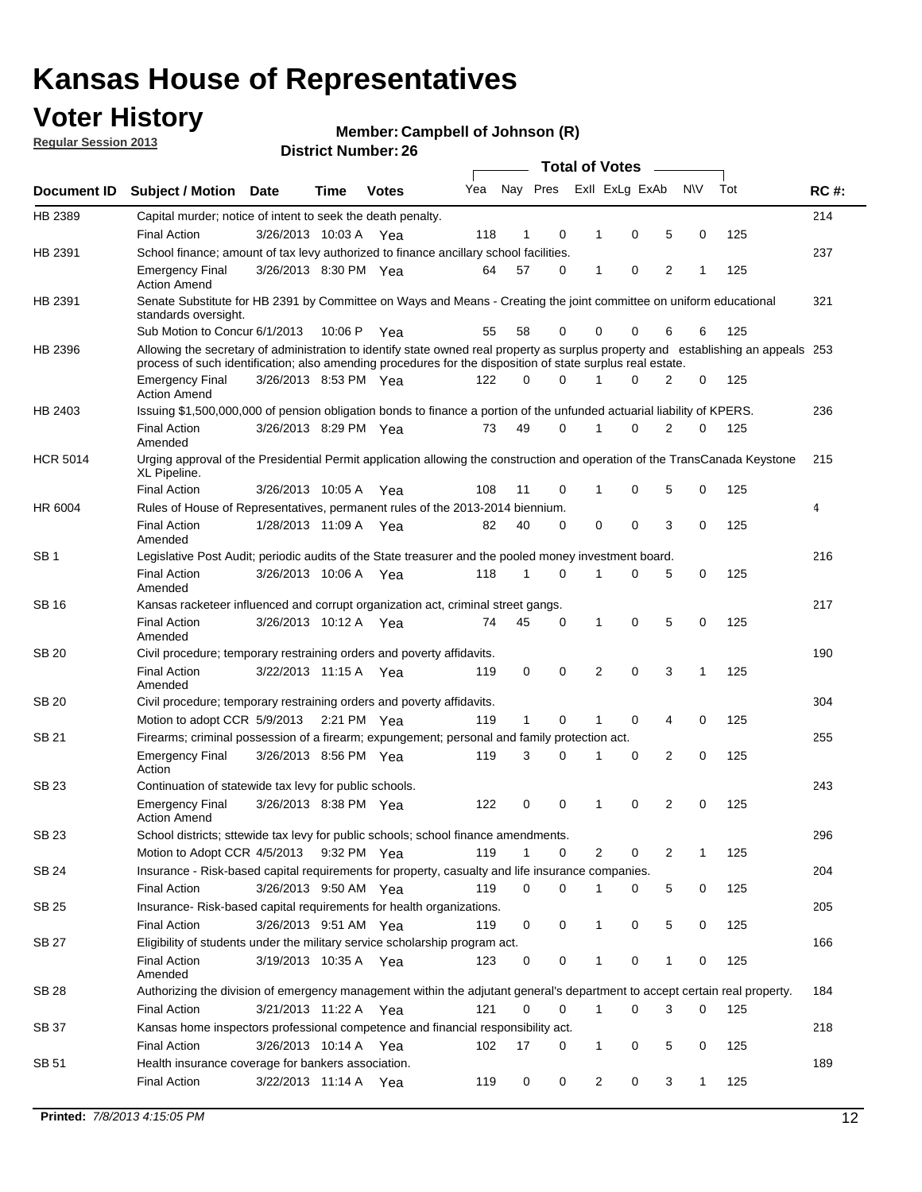## **Voter History**

**Member: Campbell of Johnson (R)** 

**Regular Session 2013**

|                 |                                                                                                                                                                                                                                                  |                       |             |              |     |              |          | <b>Total of Votes</b> |   |   |              |     |             |
|-----------------|--------------------------------------------------------------------------------------------------------------------------------------------------------------------------------------------------------------------------------------------------|-----------------------|-------------|--------------|-----|--------------|----------|-----------------------|---|---|--------------|-----|-------------|
| Document ID     | Subject / Motion Date                                                                                                                                                                                                                            |                       | Time        | <b>Votes</b> | Yea | Nay Pres     |          | Exll ExLg ExAb        |   |   | <b>NV</b>    | Tot | <b>RC#:</b> |
| HB 2389         | Capital murder; notice of intent to seek the death penalty.                                                                                                                                                                                      |                       |             |              |     |              |          |                       |   |   |              |     | 214         |
|                 | <b>Final Action</b>                                                                                                                                                                                                                              | 3/26/2013 10:03 A     |             | Yea          | 118 | 1            | 0        | 1                     | 0 | 5 | 0            | 125 |             |
| HB 2391         | School finance; amount of tax levy authorized to finance ancillary school facilities.                                                                                                                                                            |                       |             |              |     |              |          |                       |   |   |              |     | 237         |
|                 | <b>Emergency Final</b><br><b>Action Amend</b>                                                                                                                                                                                                    | 3/26/2013 8:30 PM Yea |             |              | 64  | 57           | 0        | 1                     | 0 | 2 | 1            | 125 |             |
| HB 2391         | Senate Substitute for HB 2391 by Committee on Ways and Means - Creating the joint committee on uniform educational<br>standards oversight.                                                                                                       |                       |             |              |     |              |          |                       |   |   |              |     | 321         |
|                 | Sub Motion to Concur 6/1/2013                                                                                                                                                                                                                    |                       | 10:06 P     | Yea          | 55  | 58           | 0        | 0                     | 0 | 6 | 6            | 125 |             |
| HB 2396         | Allowing the secretary of administration to identify state owned real property as surplus property and establishing an appeals 253<br>process of such identification; also amending procedures for the disposition of state surplus real estate. |                       |             |              |     |              |          |                       |   |   |              |     |             |
|                 | <b>Emergency Final</b><br>Action Amend                                                                                                                                                                                                           | 3/26/2013 8:53 PM Yea |             |              | 122 | 0            | 0        |                       | 0 | 2 | 0            | 125 |             |
| HB 2403         | Issuing \$1,500,000,000 of pension obligation bonds to finance a portion of the unfunded actuarial liability of KPERS.                                                                                                                           |                       |             |              |     |              |          |                       |   |   |              |     | 236         |
|                 | <b>Final Action</b><br>Amended                                                                                                                                                                                                                   | 3/26/2013 8:29 PM Yea |             |              | 73  | 49           | 0        | 1                     | 0 | 2 | 0            | 125 |             |
| <b>HCR 5014</b> | Urging approval of the Presidential Permit application allowing the construction and operation of the TransCanada Keystone<br>XL Pipeline.                                                                                                       |                       |             |              |     |              |          |                       |   |   |              |     | 215         |
|                 | <b>Final Action</b>                                                                                                                                                                                                                              | 3/26/2013 10:05 A     |             | Yea          | 108 | 11           | 0        |                       | 0 | 5 | 0            | 125 |             |
| HR 6004         | Rules of House of Representatives, permanent rules of the 2013-2014 biennium.                                                                                                                                                                    |                       |             |              |     |              |          |                       |   |   |              |     | 4           |
|                 | <b>Final Action</b><br>Amended                                                                                                                                                                                                                   | 1/28/2013 11:09 A     |             | Yea          | 82  | 40           | 0        | 0                     | 0 | 3 | 0            | 125 |             |
| SB 1            | Legislative Post Audit; periodic audits of the State treasurer and the pooled money investment board.                                                                                                                                            |                       |             |              |     |              |          |                       |   |   |              |     | 216         |
|                 | <b>Final Action</b><br>Amended                                                                                                                                                                                                                   | 3/26/2013 10:06 A     |             | Yea          | 118 | 1            | 0        | 1                     | 0 | 5 | 0            | 125 |             |
| SB 16           | Kansas racketeer influenced and corrupt organization act, criminal street gangs.                                                                                                                                                                 |                       |             |              |     |              |          |                       |   |   |              |     | 217         |
|                 | <b>Final Action</b><br>Amended                                                                                                                                                                                                                   | 3/26/2013 10:12 A Yea |             |              | 74  | 45           | 0        | 1                     | 0 | 5 | 0            | 125 |             |
| SB 20           | Civil procedure; temporary restraining orders and poverty affidavits.                                                                                                                                                                            |                       |             |              |     |              |          |                       |   |   |              |     | 190         |
|                 | <b>Final Action</b><br>Amended                                                                                                                                                                                                                   | 3/22/2013 11:15 A     |             | Yea          | 119 | 0            | 0        | 2                     | 0 | 3 | 1            | 125 |             |
| SB 20           | Civil procedure; temporary restraining orders and poverty affidavits.                                                                                                                                                                            |                       |             |              |     |              |          |                       |   |   |              |     | 304         |
|                 | Motion to adopt CCR 5/9/2013                                                                                                                                                                                                                     |                       | 2:21 PM Yea |              | 119 | $\mathbf{1}$ | 0        | 1                     | 0 | 4 | 0            | 125 |             |
| SB 21           | Firearms; criminal possession of a firearm; expungement; personal and family protection act.                                                                                                                                                     |                       |             |              |     |              |          |                       |   |   |              |     | 255         |
|                 | <b>Emergency Final</b><br>Action                                                                                                                                                                                                                 | 3/26/2013 8:56 PM Yea |             |              | 119 | 3            | 0        |                       | 0 | 2 | 0            | 125 |             |
| SB 23           | Continuation of statewide tax levy for public schools.                                                                                                                                                                                           |                       |             |              |     |              |          |                       |   |   |              |     | 243         |
|                 | <b>Emergency Final</b><br><b>Action Amend</b>                                                                                                                                                                                                    | 3/26/2013 8:38 PM Yea |             |              | 122 | 0            | 0        | 1                     | 0 | 2 | 0            | 125 |             |
| <b>SB 23</b>    | School districts; sttewide tax levy for public schools; school finance amendments.                                                                                                                                                               |                       |             |              |     |              |          |                       |   |   |              |     | 296         |
|                 | Motion to Adopt CCR 4/5/2013 9:32 PM Yea                                                                                                                                                                                                         |                       |             |              | 119 | 1            | 0        | 2                     | 0 | 2 | 1            | 125 |             |
| <b>SB 24</b>    | Insurance - Risk-based capital requirements for property, casualty and life insurance companies.                                                                                                                                                 |                       |             |              |     |              |          |                       |   |   |              |     | 204         |
|                 | <b>Final Action</b>                                                                                                                                                                                                                              | 3/26/2013 9:50 AM Yea |             |              | 119 | 0            | 0        |                       | 0 | 5 | 0            | 125 |             |
| SB 25           | Insurance-Risk-based capital requirements for health organizations.                                                                                                                                                                              |                       |             |              |     |              |          |                       |   |   |              |     | 205         |
|                 | <b>Final Action</b>                                                                                                                                                                                                                              | 3/26/2013 9:51 AM Yea |             |              | 119 | 0            | 0        | 1                     | 0 | 5 | 0            | 125 |             |
| SB 27           | Eligibility of students under the military service scholarship program act.                                                                                                                                                                      |                       |             |              |     |              |          |                       |   |   |              |     | 166         |
|                 | <b>Final Action</b><br>Amended                                                                                                                                                                                                                   | 3/19/2013 10:35 A Yea |             |              | 123 | 0            | 0        |                       | 0 | 1 | 0            | 125 |             |
| SB 28           | Authorizing the division of emergency management within the adjutant general's department to accept certain real property.                                                                                                                       |                       |             |              |     |              |          |                       |   |   |              |     | 184         |
|                 | <b>Final Action</b>                                                                                                                                                                                                                              | 3/21/2013 11:22 A Yea |             |              | 121 | 0            | $\Omega$ | 1                     | 0 | 3 | $\Omega$     | 125 |             |
| SB 37           | Kansas home inspectors professional competence and financial responsibility act.                                                                                                                                                                 |                       |             |              |     |              |          |                       |   |   |              |     | 218         |
|                 | <b>Final Action</b>                                                                                                                                                                                                                              | 3/26/2013 10:14 A Yea |             |              | 102 | 17           | 0        | 1                     | 0 | 5 | 0            | 125 |             |
| SB 51           | Health insurance coverage for bankers association.                                                                                                                                                                                               |                       |             |              |     |              |          |                       |   |   |              |     | 189         |
|                 | <b>Final Action</b>                                                                                                                                                                                                                              | 3/22/2013 11:14 A Yea |             |              | 119 | 0            | 0        | 2                     | 0 | 3 | $\mathbf{1}$ | 125 |             |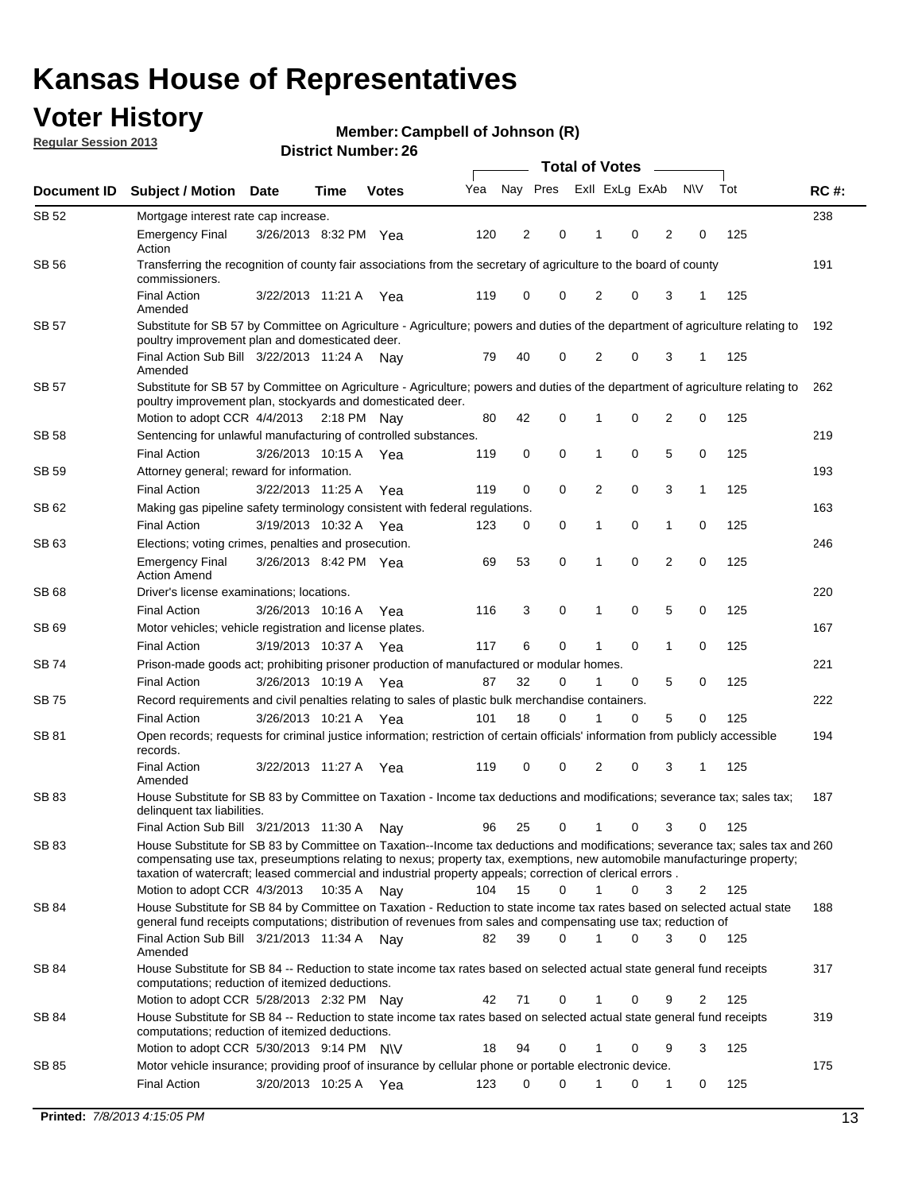## **Voter History**

**Member: Campbell of Johnson (R)** 

**Regular Session 2013**

| Document ID  | <b>Subject / Motion Date</b>                                                                                                                                                                                                                                                              |                       | Time        | <b>Votes</b> | Yea | Nay Pres |   | Exll ExLg ExAb |   |                         | <b>NV</b> | Tot | <b>RC#:</b> |
|--------------|-------------------------------------------------------------------------------------------------------------------------------------------------------------------------------------------------------------------------------------------------------------------------------------------|-----------------------|-------------|--------------|-----|----------|---|----------------|---|-------------------------|-----------|-----|-------------|
| <b>SB 52</b> | Mortgage interest rate cap increase.                                                                                                                                                                                                                                                      |                       |             |              |     |          |   |                |   |                         |           |     | 238         |
|              | <b>Emergency Final</b><br>Action                                                                                                                                                                                                                                                          | 3/26/2013 8:32 PM Yea |             |              | 120 | 2        | 0 |                | 0 | 2                       | 0         | 125 |             |
| SB 56        | Transferring the recognition of county fair associations from the secretary of agriculture to the board of county<br>commissioners.                                                                                                                                                       |                       |             |              |     |          |   |                |   |                         |           |     | 191         |
|              | <b>Final Action</b><br>Amended                                                                                                                                                                                                                                                            | 3/22/2013 11:21 A Yea |             |              | 119 | 0        | 0 | 2              | 0 | 3                       | 1         | 125 |             |
| <b>SB 57</b> | Substitute for SB 57 by Committee on Agriculture - Agriculture; powers and duties of the department of agriculture relating to<br>poultry improvement plan and domesticated deer.                                                                                                         |                       |             |              |     |          |   |                |   |                         |           |     | 192         |
|              | Final Action Sub Bill 3/22/2013 11:24 A Nav<br>Amended                                                                                                                                                                                                                                    |                       |             |              | 79  | 40       | 0 | 2              | 0 | 3                       | 1         | 125 |             |
| SB 57        | Substitute for SB 57 by Committee on Agriculture - Agriculture; powers and duties of the department of agriculture relating to<br>poultry improvement plan, stockyards and domesticated deer.                                                                                             |                       |             |              |     |          |   |                |   |                         |           |     | 262         |
|              | Motion to adopt CCR 4/4/2013                                                                                                                                                                                                                                                              |                       | 2:18 PM Nav |              | 80  | 42       | 0 |                | 0 | $\overline{\mathbf{c}}$ | 0         | 125 |             |
| SB 58        | Sentencing for unlawful manufacturing of controlled substances.                                                                                                                                                                                                                           |                       |             |              |     |          |   |                |   |                         |           |     | 219         |
|              | <b>Final Action</b>                                                                                                                                                                                                                                                                       | 3/26/2013 10:15 A     |             | Yea          | 119 | 0        | 0 | 1              | 0 | 5                       | 0         | 125 |             |
| SB 59        | Attorney general; reward for information.                                                                                                                                                                                                                                                 |                       |             |              |     |          |   |                |   |                         |           |     | 193         |
| SB 62        | <b>Final Action</b><br>Making gas pipeline safety terminology consistent with federal regulations.                                                                                                                                                                                        | 3/22/2013 11:25 A     |             | Yea          | 119 | 0        | 0 | 2              | 0 | 3                       | 1         | 125 | 163         |
|              | <b>Final Action</b>                                                                                                                                                                                                                                                                       | 3/19/2013 10:32 A     |             | Yea          | 123 | 0        | 0 | 1              | 0 | 1                       | 0         | 125 |             |
| SB 63        | Elections; voting crimes, penalties and prosecution.                                                                                                                                                                                                                                      |                       |             |              |     |          |   |                |   |                         |           |     | 246         |
|              | <b>Emergency Final</b><br><b>Action Amend</b>                                                                                                                                                                                                                                             | 3/26/2013 8:42 PM Yea |             |              | 69  | 53       | 0 | 1              | 0 | $\overline{2}$          | 0         | 125 |             |
| SB 68        | Driver's license examinations; locations.                                                                                                                                                                                                                                                 |                       |             |              |     |          |   |                |   |                         |           |     | 220         |
|              | <b>Final Action</b>                                                                                                                                                                                                                                                                       | 3/26/2013 10:16 A     |             | Yea          | 116 | 3        | 0 | 1              | 0 | 5                       | 0         | 125 |             |
| SB 69        | Motor vehicles; vehicle registration and license plates.                                                                                                                                                                                                                                  |                       |             |              |     |          |   |                |   |                         |           |     | 167         |
|              | <b>Final Action</b>                                                                                                                                                                                                                                                                       | 3/19/2013 10:37 A     |             | Yea          | 117 | 6        | 0 | 1              | 0 | 1                       | 0         | 125 |             |
| SB 74        | Prison-made goods act; prohibiting prisoner production of manufactured or modular homes.                                                                                                                                                                                                  |                       |             |              |     |          |   |                |   |                         |           |     | 221         |
|              | <b>Final Action</b>                                                                                                                                                                                                                                                                       | 3/26/2013 10:19 A     |             | Yea          | 87  | 32       | 0 | 1              | 0 | 5                       | 0         | 125 |             |
| SB 75        | Record requirements and civil penalties relating to sales of plastic bulk merchandise containers.                                                                                                                                                                                         |                       |             |              |     |          |   |                |   |                         |           |     | 222         |
|              | <b>Final Action</b>                                                                                                                                                                                                                                                                       | 3/26/2013 10:21 A     |             | Yea          | 101 | 18       | 0 |                | 0 | 5                       | 0         | 125 |             |
| SB 81        | Open records; requests for criminal justice information; restriction of certain officials' information from publicly accessible<br>records.                                                                                                                                               |                       |             |              |     |          |   |                |   |                         |           |     | 194         |
|              | <b>Final Action</b><br>Amended                                                                                                                                                                                                                                                            | 3/22/2013 11:27 A     |             | Yea          | 119 | 0        | 0 | 2              | 0 | 3                       | 1         | 125 |             |
| <b>SB 83</b> | House Substitute for SB 83 by Committee on Taxation - Income tax deductions and modifications; severance tax; sales tax;<br>delinquent tax liabilities.<br>Final Action Sub Bill 3/21/2013 11:30 A                                                                                        |                       |             |              | 96  | 25       | 0 | 1              | 0 | 3                       | 0         | 125 | 187         |
| SB 83        | House Substitute for SB 83 by Committee on Taxation--Income tax deductions and modifications; severance tax; sales tax and 260                                                                                                                                                            |                       |             | Nav          |     |          |   |                |   |                         |           |     |             |
|              | compensating use tax, preseumptions relating to nexus; property tax, exemptions, new automobile manufacturinge property;<br>taxation of watercraft; leased commercial and industrial property appeals; correction of clerical errors.                                                     |                       |             |              |     |          |   |                |   |                         |           |     |             |
|              | Motion to adopt CCR 4/3/2013                                                                                                                                                                                                                                                              |                       | 10:35 A Nay |              | 104 | 15       | 0 | 1              | 0 | 3                       | 2         | 125 |             |
| SB 84        | House Substitute for SB 84 by Committee on Taxation - Reduction to state income tax rates based on selected actual state<br>general fund receipts computations; distribution of revenues from sales and compensating use tax; reduction of<br>Final Action Sub Bill 3/21/2013 11:34 A Nay |                       |             |              | 82  | 39       | 0 | 1              | 0 | 3                       | 0         | 125 | 188         |
|              | Amended                                                                                                                                                                                                                                                                                   |                       |             |              |     |          |   |                |   |                         |           |     |             |
| SB 84        | House Substitute for SB 84 -- Reduction to state income tax rates based on selected actual state general fund receipts<br>computations; reduction of itemized deductions.                                                                                                                 |                       |             |              |     |          |   |                |   |                         |           |     | 317         |
|              | Motion to adopt CCR 5/28/2013 2:32 PM Nay                                                                                                                                                                                                                                                 |                       |             |              | 42  | 71       | 0 | 1              | 0 | 9                       | 2         | 125 |             |
| SB 84        | House Substitute for SB 84 -- Reduction to state income tax rates based on selected actual state general fund receipts<br>computations; reduction of itemized deductions.                                                                                                                 |                       |             |              |     |          |   |                |   |                         |           |     | 319         |
|              | Motion to adopt CCR $5/30/2013$ 9:14 PM N\V                                                                                                                                                                                                                                               |                       |             |              | 18  | 94       | 0 |                | 0 | 9                       | 3         | 125 |             |
| SB 85        | Motor vehicle insurance; providing proof of insurance by cellular phone or portable electronic device.<br>Final Action                                                                                                                                                                    | 3/20/2013 10:25 A Yea |             |              | 123 | 0        | 0 |                | 0 | 1                       | 0         | 125 | 175         |
|              |                                                                                                                                                                                                                                                                                           |                       |             |              |     |          |   |                |   |                         |           |     |             |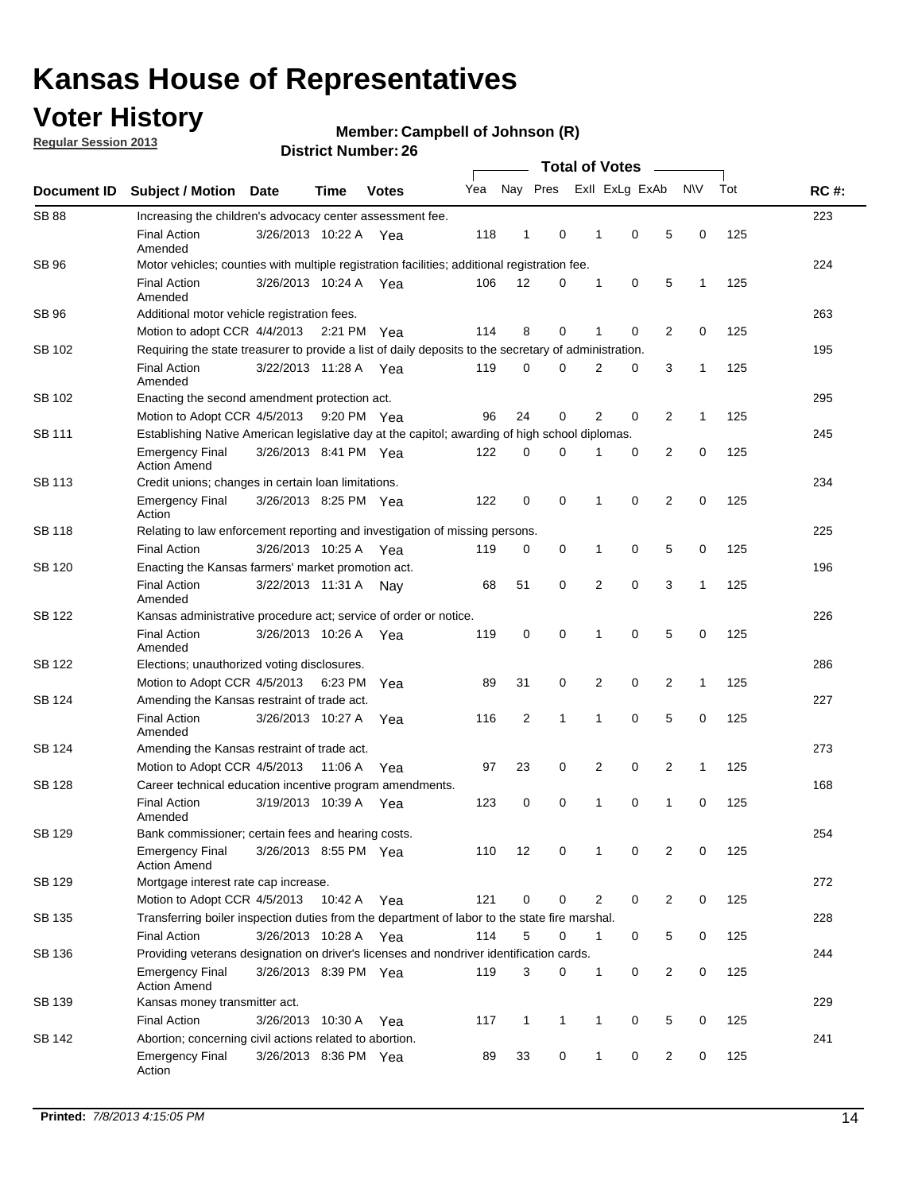## **Voter History**

**Regular Session 2013**

#### **Member: Campbell of Johnson (R)**

| Document ID   |                                                                                                       |                                                                                                         |         |              |     |                |              |                |             |                |              |     |             |
|---------------|-------------------------------------------------------------------------------------------------------|---------------------------------------------------------------------------------------------------------|---------|--------------|-----|----------------|--------------|----------------|-------------|----------------|--------------|-----|-------------|
|               | <b>Subject / Motion Date</b>                                                                          |                                                                                                         | Time    | <b>Votes</b> | Yea | Nay Pres       |              | Exll ExLg ExAb |             |                | <b>NV</b>    | Tot | <b>RC#:</b> |
| <b>SB 88</b>  | Increasing the children's advocacy center assessment fee.                                             |                                                                                                         |         |              |     |                |              |                |             |                |              |     | 223         |
|               | <b>Final Action</b><br>Amended                                                                        | 3/26/2013 10:22 A Yea                                                                                   |         |              | 118 | $\mathbf{1}$   | 0            | 1              | 0           | 5              | 0            | 125 |             |
| SB 96         | Motor vehicles; counties with multiple registration facilities; additional registration fee.          |                                                                                                         |         |              |     |                |              |                |             |                |              |     | 224         |
|               | <b>Final Action</b><br>Amended                                                                        | 3/26/2013 10:24 A Yea                                                                                   |         |              | 106 | 12             | 0            | 1              | 0           | 5              | 1            | 125 |             |
| SB 96         | Additional motor vehicle registration fees.                                                           |                                                                                                         |         |              |     |                |              |                |             |                |              |     | 263         |
|               | Motion to adopt CCR 4/4/2013 2:21 PM Yea                                                              |                                                                                                         |         |              | 114 | 8              | 0            | 1              | 0           | 2              | 0            | 125 |             |
| SB 102        | Requiring the state treasurer to provide a list of daily deposits to the secretary of administration. |                                                                                                         |         |              |     |                |              |                |             |                |              |     | 195         |
|               | <b>Final Action</b><br>Amended                                                                        | 3/22/2013 11:28 A Yea                                                                                   |         |              | 119 | 0              | 0            | 2              | 0           | 3              | 1            | 125 |             |
| SB 102        | Enacting the second amendment protection act.                                                         |                                                                                                         |         |              |     |                |              |                |             |                |              |     | 295         |
|               |                                                                                                       | 2<br>$\overline{2}$<br>Motion to Adopt CCR 4/5/2013<br>96<br>24<br>0<br>0<br>1<br>125<br>9:20 PM Yea    |         |              |     |                |              |                |             |                |              |     |             |
| SB 111        | Establishing Native American legislative day at the capitol; awarding of high school diplomas.        |                                                                                                         |         |              |     |                |              |                |             |                |              |     |             |
|               | <b>Emergency Final</b><br><b>Action Amend</b>                                                         | 3/26/2013 8:41 PM Yea                                                                                   |         |              | 122 | 0              | 0            | 1              | 0           | 2              | 0            | 125 |             |
| SB 113        | Credit unions; changes in certain loan limitations.                                                   |                                                                                                         |         |              |     |                |              |                |             |                |              |     | 234         |
|               | <b>Emergency Final</b><br>Action                                                                      | 3/26/2013 8:25 PM Yea                                                                                   |         |              | 122 | 0              | 0            | 1              | 0           | 2              | 0            | 125 |             |
| SB 118        | Relating to law enforcement reporting and investigation of missing persons.                           |                                                                                                         |         |              |     |                |              |                |             |                |              |     | 225         |
|               | <b>Final Action</b>                                                                                   | 3/26/2013 10:25 A Yea                                                                                   |         |              | 119 | 0              | 0            | 1              | 0           | 5              | 0            | 125 |             |
| SB 120        | Enacting the Kansas farmers' market promotion act.                                                    |                                                                                                         |         |              |     |                |              |                |             |                |              |     | 196         |
|               | <b>Final Action</b><br>Amended                                                                        | 3/22/2013 11:31 A Nav                                                                                   |         |              | 68  | 51             | 0            | 2              | $\mathbf 0$ | 3              | $\mathbf{1}$ | 125 |             |
| SB 122        | Kansas administrative procedure act; service of order or notice.                                      |                                                                                                         |         |              |     |                |              |                |             |                |              |     | 226         |
|               | <b>Final Action</b><br>Amended                                                                        | 3/26/2013 10:26 A                                                                                       |         | Yea          | 119 | 0              | 0            | 1              | $\mathbf 0$ | 5              | 0            | 125 |             |
| SB 122        | Elections; unauthorized voting disclosures.                                                           |                                                                                                         |         |              |     |                |              |                |             |                |              |     |             |
|               | Motion to Adopt CCR 4/5/2013                                                                          |                                                                                                         | 6:23 PM | Yea          | 89  | 31             | 0            | 2              | 0           | 2              | 1            | 125 |             |
| SB 124        | Amending the Kansas restraint of trade act.                                                           |                                                                                                         |         |              |     |                |              |                |             |                |              |     | 227         |
|               | <b>Final Action</b><br>Amended                                                                        | 3/26/2013 10:27 A                                                                                       |         | Yea          | 116 | $\overline{2}$ | 1            | 1              | 0           | 5              | 0            | 125 |             |
| SB 124        | Amending the Kansas restraint of trade act.                                                           |                                                                                                         |         |              |     |                |              |                |             |                |              |     | 273         |
|               | Motion to Adopt CCR 4/5/2013                                                                          |                                                                                                         | 11:06 A | Yea          | 97  | 23             | 0            | 2              | 0           | 2              | $\mathbf{1}$ | 125 |             |
| <b>SB 128</b> | Career technical education incentive program amendments.                                              |                                                                                                         |         |              |     |                |              |                |             |                |              |     | 168         |
|               | <b>Final Action</b><br>Amended                                                                        | 3/19/2013 10:39 A Yea                                                                                   |         |              | 123 | 0              | 0            | 1              | 0           | 1              | 0            | 125 |             |
| <b>SB 129</b> | Bank commissioner; certain fees and hearing costs.                                                    |                                                                                                         |         |              |     |                |              |                |             |                |              |     | 254         |
|               | <b>Emergency Final</b><br><b>Action Amend</b>                                                         | 3/26/2013 8:55 PM Yea                                                                                   |         |              | 110 | 12             | 0            | 1              | 0           | 2              | 0            | 125 |             |
| SB 129        | Mortgage interest rate cap increase.                                                                  |                                                                                                         |         |              |     |                |              |                |             |                |              |     | 272         |
|               |                                                                                                       | Motion to Adopt CCR 4/5/2013<br>121<br>0<br>2<br>0<br>$\overline{c}$<br>0<br>125<br>10:42 A<br>0<br>Yea |         |              |     |                |              |                |             |                |              |     |             |
| SB 135        | Transferring boiler inspection duties from the department of labor to the state fire marshal.         |                                                                                                         |         |              |     |                |              |                |             |                |              |     | 228         |
|               | <b>Final Action</b>                                                                                   | 3/26/2013 10:28 A Yea                                                                                   |         |              | 114 | 5              | 0            | 1              | 0           | 5              | 0            | 125 |             |
| SB 136        | Providing veterans designation on driver's licenses and nondriver identification cards.               |                                                                                                         |         |              |     |                |              |                |             |                |              |     | 244         |
|               | <b>Emergency Final</b><br><b>Action Amend</b>                                                         | 3/26/2013 8:39 PM Yea                                                                                   |         |              | 119 | 3              | 0            | 1              | 0           | $\overline{c}$ | 0            | 125 |             |
| SB 139        | Kansas money transmitter act.                                                                         |                                                                                                         |         |              |     |                |              |                |             |                |              |     | 229         |
|               | <b>Final Action</b>                                                                                   | 3/26/2013 10:30 A                                                                                       |         | Yea          | 117 | $\mathbf{1}$   | $\mathbf{1}$ | 1              | 0           | 5              | 0            | 125 |             |
| SB 142        | Abortion; concerning civil actions related to abortion.                                               |                                                                                                         |         |              |     |                |              |                |             |                |              |     | 241         |
|               | <b>Emergency Final</b><br>Action                                                                      | 3/26/2013 8:36 PM Yea                                                                                   |         |              | 89  | 33             | 0            | 1              | 0           | 2              | 0            | 125 |             |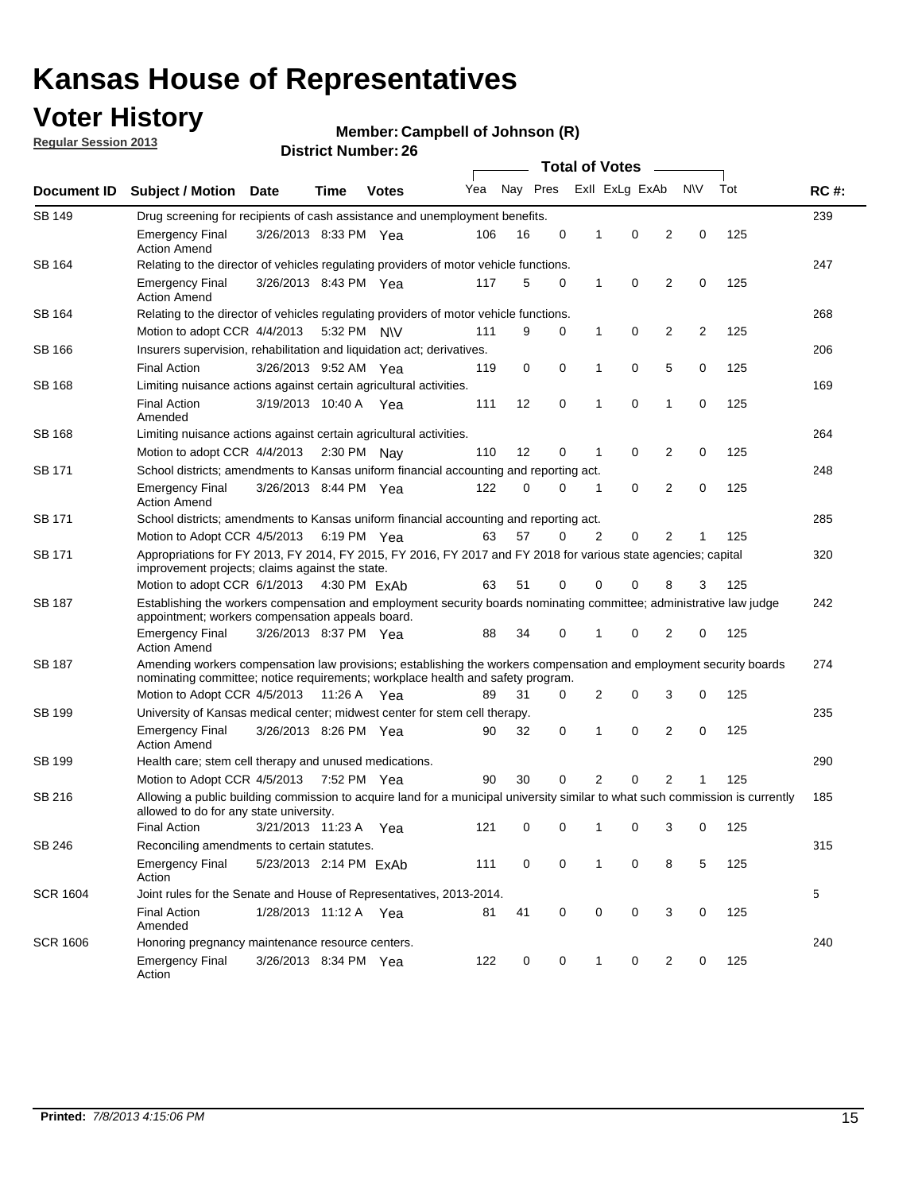## **Voter History**

**Member: Campbell of Johnson (R)** 

**Regular Session 2013**

|                 |                                                                                                                                                                                                       |                                                                                    |             |              | <b>Total of Votes</b> |          |             |                |                |                |           |     |             |  |
|-----------------|-------------------------------------------------------------------------------------------------------------------------------------------------------------------------------------------------------|------------------------------------------------------------------------------------|-------------|--------------|-----------------------|----------|-------------|----------------|----------------|----------------|-----------|-----|-------------|--|
| Document ID     | <b>Subject / Motion</b>                                                                                                                                                                               | Date                                                                               | Time        | <b>Votes</b> | Yea                   | Nay Pres |             |                | Exll ExLg ExAb |                | <b>NV</b> | Tot | <b>RC#:</b> |  |
| SB 149          |                                                                                                                                                                                                       | 239<br>Drug screening for recipients of cash assistance and unemployment benefits. |             |              |                       |          |             |                |                |                |           |     |             |  |
|                 | <b>Emergency Final</b><br><b>Action Amend</b>                                                                                                                                                         | 3/26/2013 8:33 PM Yea                                                              |             |              | 106                   | 16       | 0           | $\mathbf 1$    | 0              | 2              | 0         | 125 |             |  |
| SB 164          | Relating to the director of vehicles regulating providers of motor vehicle functions.                                                                                                                 |                                                                                    |             |              |                       |          |             |                |                |                |           |     | 247         |  |
|                 | <b>Emergency Final</b><br><b>Action Amend</b>                                                                                                                                                         | 3/26/2013 8:43 PM Yea                                                              |             |              | 117                   | 5        | 0           | 1              | 0              | 2              | 0         | 125 |             |  |
| SB 164          | Relating to the director of vehicles regulating providers of motor vehicle functions.                                                                                                                 |                                                                                    |             |              |                       |          |             |                |                |                |           |     | 268         |  |
|                 | Motion to adopt CCR 4/4/2013 5:32 PM N\V                                                                                                                                                              |                                                                                    |             |              | 111                   | 9        | 0           | $\mathbf{1}$   | 0              | 2              | 2         | 125 |             |  |
| SB 166          | Insurers supervision, rehabilitation and liquidation act; derivatives.                                                                                                                                |                                                                                    |             |              |                       |          |             |                |                |                |           |     | 206         |  |
|                 | <b>Final Action</b>                                                                                                                                                                                   | 3/26/2013 9:52 AM Yea                                                              |             |              | 119                   | 0        | 0           | 1              | 0              | 5              | 0         | 125 |             |  |
| <b>SB 168</b>   | Limiting nuisance actions against certain agricultural activities.                                                                                                                                    |                                                                                    |             |              |                       |          |             |                |                |                |           |     | 169         |  |
|                 | <b>Final Action</b><br>Amended                                                                                                                                                                        | 3/19/2013 10:40 A Yea                                                              |             |              | 111                   | 12       | $\mathbf 0$ | 1              | $\mathbf 0$    | 1              | 0         | 125 |             |  |
| <b>SB 168</b>   | Limiting nuisance actions against certain agricultural activities.                                                                                                                                    |                                                                                    |             |              |                       |          |             |                |                |                |           |     | 264         |  |
|                 | Motion to adopt CCR 4/4/2013                                                                                                                                                                          |                                                                                    | 2:30 PM Nay |              | 110                   | 12       | 0           | 1              | 0              | 2              | 0         | 125 |             |  |
| SB 171          | School districts; amendments to Kansas uniform financial accounting and reporting act.                                                                                                                |                                                                                    |             |              |                       |          |             |                |                |                |           |     | 248         |  |
|                 | <b>Emergency Final</b><br><b>Action Amend</b>                                                                                                                                                         | 3/26/2013 8:44 PM Yea                                                              |             |              | 122                   | 0        | 0           | 1              | 0              | 2              | 0         | 125 |             |  |
| SB 171          | School districts; amendments to Kansas uniform financial accounting and reporting act.                                                                                                                |                                                                                    |             |              |                       |          |             |                |                |                |           |     | 285         |  |
|                 | Motion to Adopt CCR 4/5/2013 6:19 PM Yea                                                                                                                                                              |                                                                                    |             |              | 63                    | 57       | 0           | $\overline{2}$ | 0              | $\overline{2}$ |           | 125 |             |  |
| SB 171          | Appropriations for FY 2013, FY 2014, FY 2015, FY 2016, FY 2017 and FY 2018 for various state agencies; capital<br>improvement projects; claims against the state.                                     |                                                                                    |             |              |                       |          |             |                |                |                |           |     | 320         |  |
|                 | Motion to adopt CCR 6/1/2013 4:30 PM ExAb                                                                                                                                                             |                                                                                    |             |              | 63                    | 51       | 0           | 0              | 0              | 8              | 3         | 125 |             |  |
| SB 187          | Establishing the workers compensation and employment security boards nominating committee; administrative law judge<br>appointment; workers compensation appeals board.                               |                                                                                    |             |              |                       |          |             |                |                |                |           |     | 242         |  |
|                 | <b>Emergency Final</b><br><b>Action Amend</b>                                                                                                                                                         | 3/26/2013 8:37 PM Yea                                                              |             |              | 88                    | 34       | 0           |                | 0              | 2              | 0         | 125 | 274         |  |
| SB 187          | Amending workers compensation law provisions; establishing the workers compensation and employment security boards<br>nominating committee; notice requirements; workplace health and safety program. |                                                                                    |             |              |                       |          |             |                |                |                |           |     |             |  |
|                 | Motion to Adopt CCR 4/5/2013 11:26 A Yea                                                                                                                                                              |                                                                                    |             |              | 89                    | 31       | 0           | 2              | 0              | 3              | 0         | 125 |             |  |
| SB 199          | University of Kansas medical center; midwest center for stem cell therapy.                                                                                                                            |                                                                                    |             |              |                       |          |             |                |                |                |           |     | 235         |  |
|                 | <b>Emergency Final</b><br><b>Action Amend</b>                                                                                                                                                         | 3/26/2013 8:26 PM Yea                                                              |             |              | 90                    | 32       | 0           | 1              | 0              | 2              | 0         | 125 |             |  |
| SB 199          | Health care; stem cell therapy and unused medications.                                                                                                                                                |                                                                                    |             |              |                       |          |             |                |                |                |           |     | 290         |  |
|                 | Motion to Adopt CCR 4/5/2013                                                                                                                                                                          |                                                                                    | 7:52 PM Yea |              | 90                    | 30       | 0           | 2              | 0              | 2              | 1         | 125 |             |  |
| SB 216          | Allowing a public building commission to acquire land for a municipal university similar to what such commission is currently<br>allowed to do for any state university.                              |                                                                                    |             |              |                       |          |             |                |                |                |           |     | 185         |  |
|                 | <b>Final Action</b>                                                                                                                                                                                   | 3/21/2013 11:23 A                                                                  |             | Yea          | 121                   | 0        | 0           | 1              | 0              | 3              | 0         | 125 |             |  |
| SB 246          | Reconciling amendments to certain statutes.                                                                                                                                                           |                                                                                    |             |              |                       |          |             |                |                |                |           |     | 315         |  |
|                 | <b>Emergency Final</b><br>Action                                                                                                                                                                      | 5/23/2013 2:14 PM ExAb                                                             |             |              | 111                   | 0        | 0           | 1              | 0              | 8              | 5         | 125 |             |  |
| <b>SCR 1604</b> | Joint rules for the Senate and House of Representatives, 2013-2014.                                                                                                                                   |                                                                                    |             |              |                       |          |             |                |                |                |           |     | 5           |  |
|                 | <b>Final Action</b><br>Amended                                                                                                                                                                        | 1/28/2013 11:12 A Yea                                                              |             |              | 81                    | 41       | 0           | 0              | 0              | 3              | 0         | 125 |             |  |
| <b>SCR 1606</b> | Honoring pregnancy maintenance resource centers.                                                                                                                                                      |                                                                                    |             |              |                       |          |             |                |                |                |           |     | 240         |  |
|                 | <b>Emergency Final</b><br>Action                                                                                                                                                                      | 3/26/2013 8:34 PM Yea                                                              |             |              | 122                   | 0        | 0           | 1              | 0              | 2              | 0         | 125 |             |  |